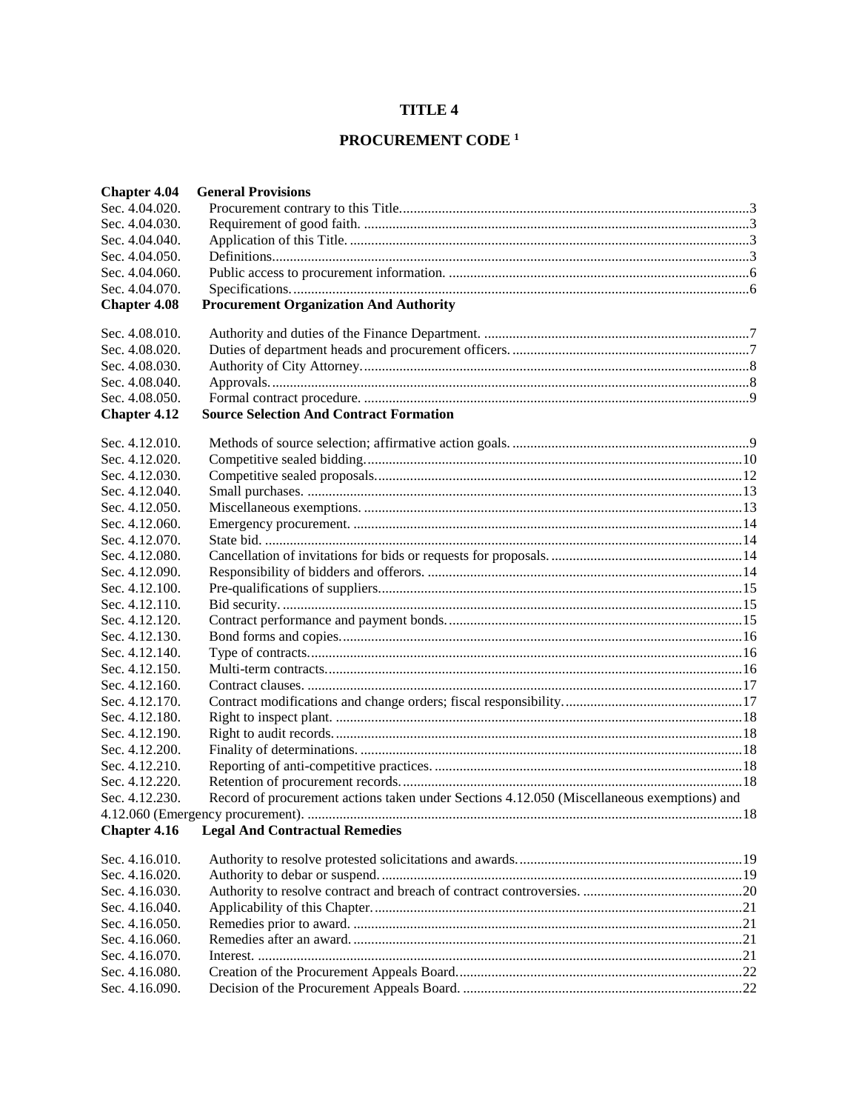# **TITLE 4**

# PROCUREMENT CODE $^{\rm 1}$

| <b>Chapter 4.04</b> | <b>General Provisions</b>                                                                  |  |
|---------------------|--------------------------------------------------------------------------------------------|--|
| Sec. 4.04.020.      |                                                                                            |  |
| Sec. 4.04.030.      |                                                                                            |  |
| Sec. 4.04.040.      |                                                                                            |  |
| Sec. 4.04.050.      |                                                                                            |  |
| Sec. 4.04.060.      |                                                                                            |  |
| Sec. 4.04.070.      |                                                                                            |  |
| <b>Chapter 4.08</b> | <b>Procurement Organization And Authority</b>                                              |  |
| Sec. 4.08.010.      |                                                                                            |  |
| Sec. 4.08.020.      |                                                                                            |  |
| Sec. 4.08.030.      |                                                                                            |  |
| Sec. 4.08.040.      |                                                                                            |  |
| Sec. 4.08.050.      |                                                                                            |  |
| <b>Chapter 4.12</b> | <b>Source Selection And Contract Formation</b>                                             |  |
| Sec. 4.12.010.      |                                                                                            |  |
| Sec. 4.12.020.      |                                                                                            |  |
| Sec. 4.12.030.      |                                                                                            |  |
| Sec. 4.12.040.      |                                                                                            |  |
| Sec. 4.12.050.      |                                                                                            |  |
| Sec. 4.12.060.      |                                                                                            |  |
| Sec. 4.12.070.      |                                                                                            |  |
| Sec. 4.12.080.      |                                                                                            |  |
| Sec. 4.12.090.      |                                                                                            |  |
| Sec. 4.12.100.      |                                                                                            |  |
| Sec. 4.12.110.      |                                                                                            |  |
| Sec. 4.12.120.      |                                                                                            |  |
| Sec. 4.12.130.      |                                                                                            |  |
| Sec. 4.12.140.      |                                                                                            |  |
| Sec. 4.12.150.      |                                                                                            |  |
| Sec. 4.12.160.      |                                                                                            |  |
| Sec. 4.12.170.      |                                                                                            |  |
| Sec. 4.12.180.      |                                                                                            |  |
| Sec. 4.12.190.      |                                                                                            |  |
| Sec. 4.12.200.      |                                                                                            |  |
| Sec. 4.12.210.      |                                                                                            |  |
| Sec. 4.12.220.      |                                                                                            |  |
| Sec. 4.12.230.      | Record of procurement actions taken under Sections 4.12.050 (Miscellaneous exemptions) and |  |
|                     |                                                                                            |  |
| <b>Chapter 4.16</b> | <b>Legal And Contractual Remedies</b>                                                      |  |
| Sec. 4.16.010.      |                                                                                            |  |
| Sec. 4.16.020.      |                                                                                            |  |
| Sec. 4.16.030.      |                                                                                            |  |
| Sec. 4.16.040.      |                                                                                            |  |
| Sec. 4.16.050.      |                                                                                            |  |
| Sec. 4.16.060.      |                                                                                            |  |
| Sec. 4.16.070.      |                                                                                            |  |
| Sec. 4.16.080.      |                                                                                            |  |
| Sec. 4.16.090.      |                                                                                            |  |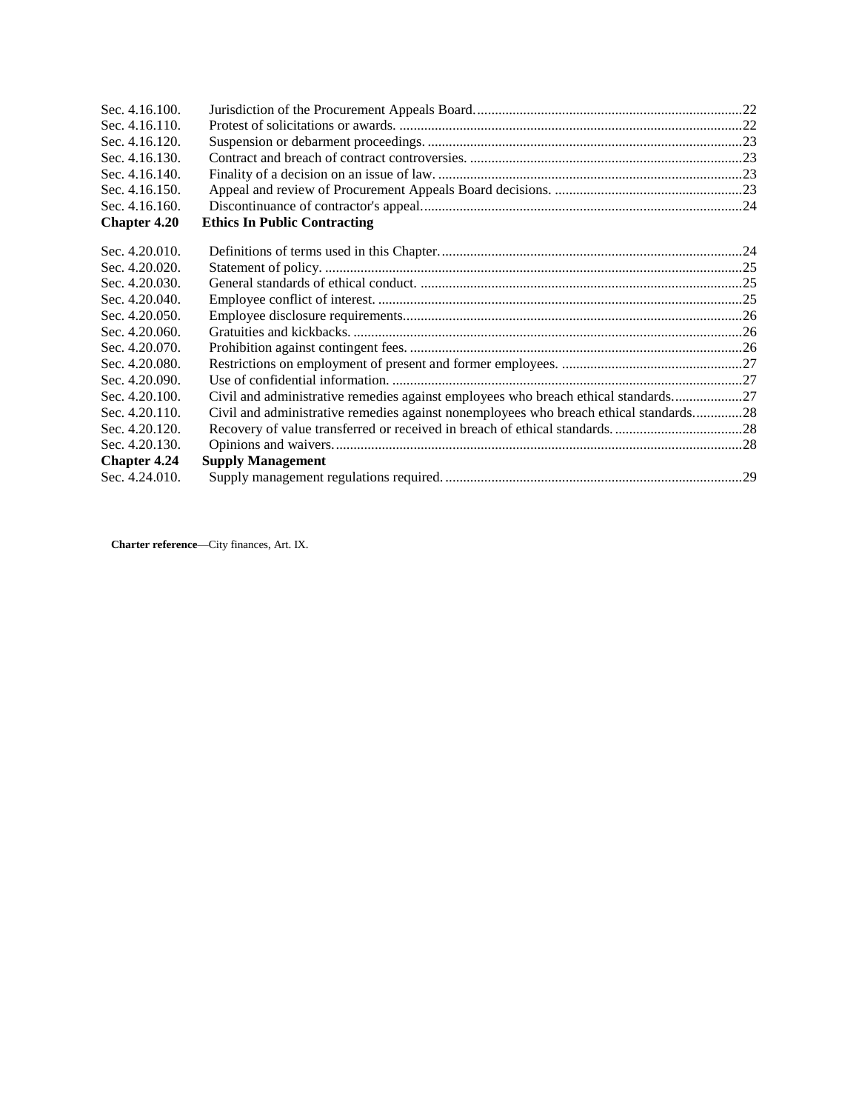| Sec. 4.16.100.      |                                                                                       |  |
|---------------------|---------------------------------------------------------------------------------------|--|
| Sec. 4.16.110.      |                                                                                       |  |
| Sec. 4.16.120.      |                                                                                       |  |
| Sec. 4.16.130.      |                                                                                       |  |
| Sec. 4.16.140.      |                                                                                       |  |
| Sec. 4.16.150.      |                                                                                       |  |
| Sec. 4.16.160.      |                                                                                       |  |
| <b>Chapter 4.20</b> | <b>Ethics In Public Contracting</b>                                                   |  |
| Sec. 4.20.010.      |                                                                                       |  |
| Sec. 4.20.020.      |                                                                                       |  |
| Sec. 4.20.030.      |                                                                                       |  |
| Sec. 4.20.040.      |                                                                                       |  |
| Sec. 4.20.050.      |                                                                                       |  |
| Sec. 4.20.060.      |                                                                                       |  |
| Sec. 4.20.070.      |                                                                                       |  |
| Sec. 4.20.080.      |                                                                                       |  |
| Sec. 4.20.090.      |                                                                                       |  |
| Sec. 4.20.100.      | Civil and administrative remedies against employees who breach ethical standards27    |  |
| Sec. 4.20.110.      | Civil and administrative remedies against nonemployees who breach ethical standards28 |  |
| Sec. 4.20.120.      |                                                                                       |  |
| Sec. 4.20.130.      |                                                                                       |  |
| <b>Chapter 4.24</b> | <b>Supply Management</b>                                                              |  |
| Sec. 4.24.010.      |                                                                                       |  |

**Charter reference**—City finances, Art. IX.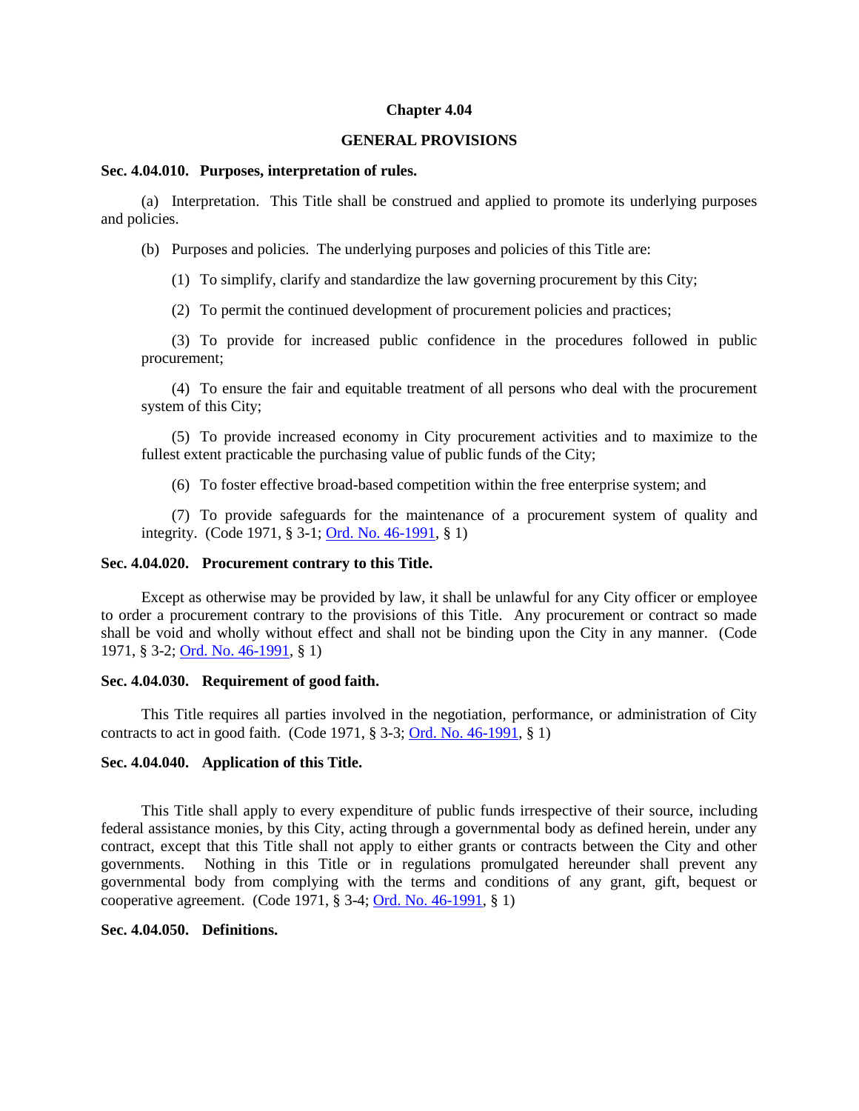#### **Chapter 4.04**

#### **GENERAL PROVISIONS**

### **Sec. 4.04.010. Purposes, interpretation of rules.**

(a) Interpretation. This Title shall be construed and applied to promote its underlying purposes and policies.

(b) Purposes and policies. The underlying purposes and policies of this Title are:

(1) To simplify, clarify and standardize the law governing procurement by this City;

(2) To permit the continued development of procurement policies and practices;

(3) To provide for increased public confidence in the procedures followed in public procurement;

(4) To ensure the fair and equitable treatment of all persons who deal with the procurement system of this City;

(5) To provide increased economy in City procurement activities and to maximize to the fullest extent practicable the purchasing value of public funds of the City;

(6) To foster effective broad-based competition within the free enterprise system; and

(7) To provide safeguards for the maintenance of a procurement system of quality and integrity. (Code 1971, § 3-1; [Ord. No. 46-1991,](http://205.170.51.183/WebLink8/0/doc/3338/Page1.aspx) § 1)

#### <span id="page-2-0"></span>**Sec. 4.04.020. Procurement contrary to this Title.**

Except as otherwise may be provided by law, it shall be unlawful for any City officer or employee to order a procurement contrary to the provisions of this Title. Any procurement or contract so made shall be void and wholly without effect and shall not be binding upon the City in any manner. (Code 1971, § 3-2; [Ord. No. 46-1991,](http://205.170.51.183/WebLink8/0/doc/3338/Page1.aspx) § 1)

#### <span id="page-2-1"></span>**Sec. 4.04.030. Requirement of good faith.**

This Title requires all parties involved in the negotiation, performance, or administration of City contracts to act in good faith. (Code 1971, § 3-3; [Ord. No. 46-1991,](http://205.170.51.183/WebLink8/0/doc/3338/Page1.aspx) § 1)

#### <span id="page-2-2"></span>**Sec. 4.04.040. Application of this Title.**

This Title shall apply to every expenditure of public funds irrespective of their source, including federal assistance monies, by this City, acting through a governmental body as defined herein, under any contract, except that this Title shall not apply to either grants or contracts between the City and other governments. Nothing in this Title or in regulations promulgated hereunder shall prevent any governmental body from complying with the terms and conditions of any grant, gift, bequest or cooperative agreement. (Code 1971, § 3-4; [Ord. No. 46-1991,](http://205.170.51.183/WebLink8/0/doc/3338/Page1.aspx) § 1)

#### <span id="page-2-3"></span>**Sec. 4.04.050. Definitions.**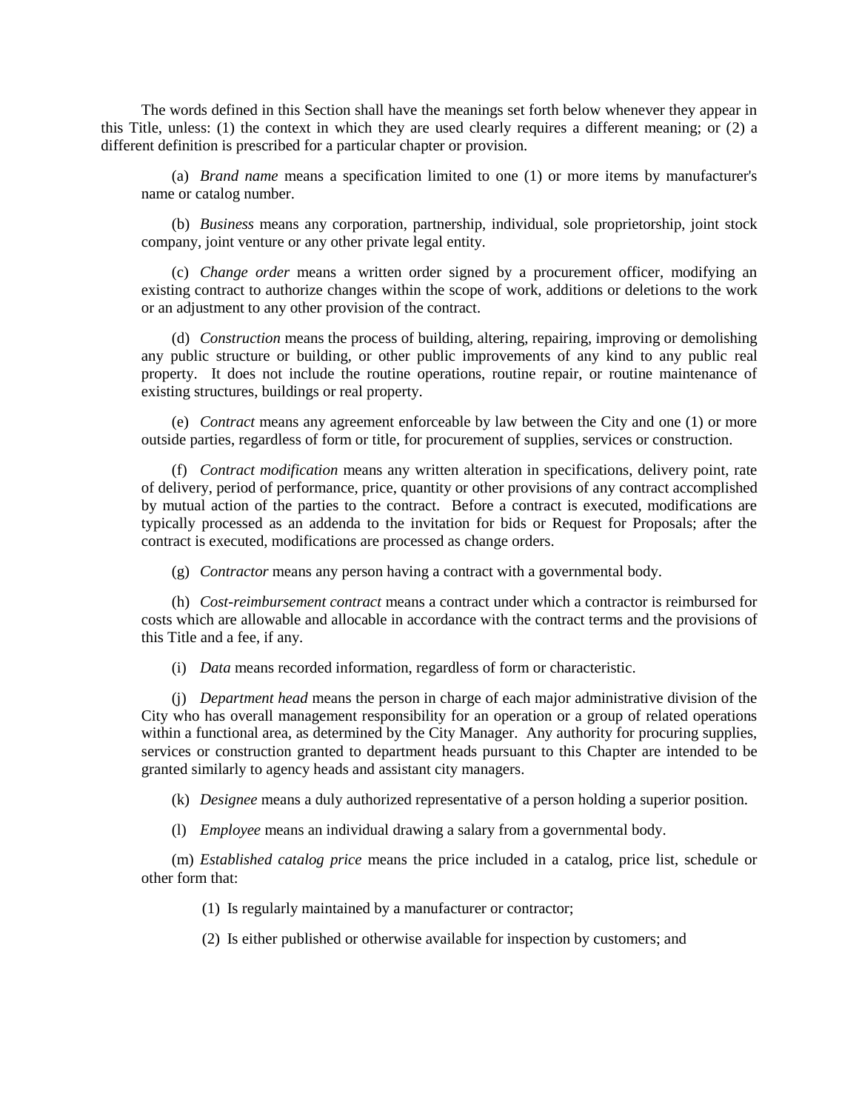The words defined in this Section shall have the meanings set forth below whenever they appear in this Title, unless: (1) the context in which they are used clearly requires a different meaning; or (2) a different definition is prescribed for a particular chapter or provision.

(a) *Brand name* means a specification limited to one (1) or more items by manufacturer's name or catalog number.

(b) *Business* means any corporation, partnership, individual, sole proprietorship, joint stock company, joint venture or any other private legal entity.

(c) *Change order* means a written order signed by a procurement officer, modifying an existing contract to authorize changes within the scope of work, additions or deletions to the work or an adjustment to any other provision of the contract.

(d) *Construction* means the process of building, altering, repairing, improving or demolishing any public structure or building, or other public improvements of any kind to any public real property. It does not include the routine operations, routine repair, or routine maintenance of existing structures, buildings or real property.

(e) *Contract* means any agreement enforceable by law between the City and one (1) or more outside parties, regardless of form or title, for procurement of supplies, services or construction.

(f) *Contract modification* means any written alteration in specifications, delivery point, rate of delivery, period of performance, price, quantity or other provisions of any contract accomplished by mutual action of the parties to the contract. Before a contract is executed, modifications are typically processed as an addenda to the invitation for bids or Request for Proposals; after the contract is executed, modifications are processed as change orders.

(g) *Contractor* means any person having a contract with a governmental body.

(h) *Cost-reimbursement contract* means a contract under which a contractor is reimbursed for costs which are allowable and allocable in accordance with the contract terms and the provisions of this Title and a fee, if any.

(i) *Data* means recorded information, regardless of form or characteristic.

(j) *Department head* means the person in charge of each major administrative division of the City who has overall management responsibility for an operation or a group of related operations within a functional area, as determined by the City Manager. Any authority for procuring supplies, services or construction granted to department heads pursuant to this Chapter are intended to be granted similarly to agency heads and assistant city managers.

(k) *Designee* means a duly authorized representative of a person holding a superior position.

(l) *Employee* means an individual drawing a salary from a governmental body.

(m) *Established catalog price* means the price included in a catalog, price list, schedule or other form that:

(1) Is regularly maintained by a manufacturer or contractor;

(2) Is either published or otherwise available for inspection by customers; and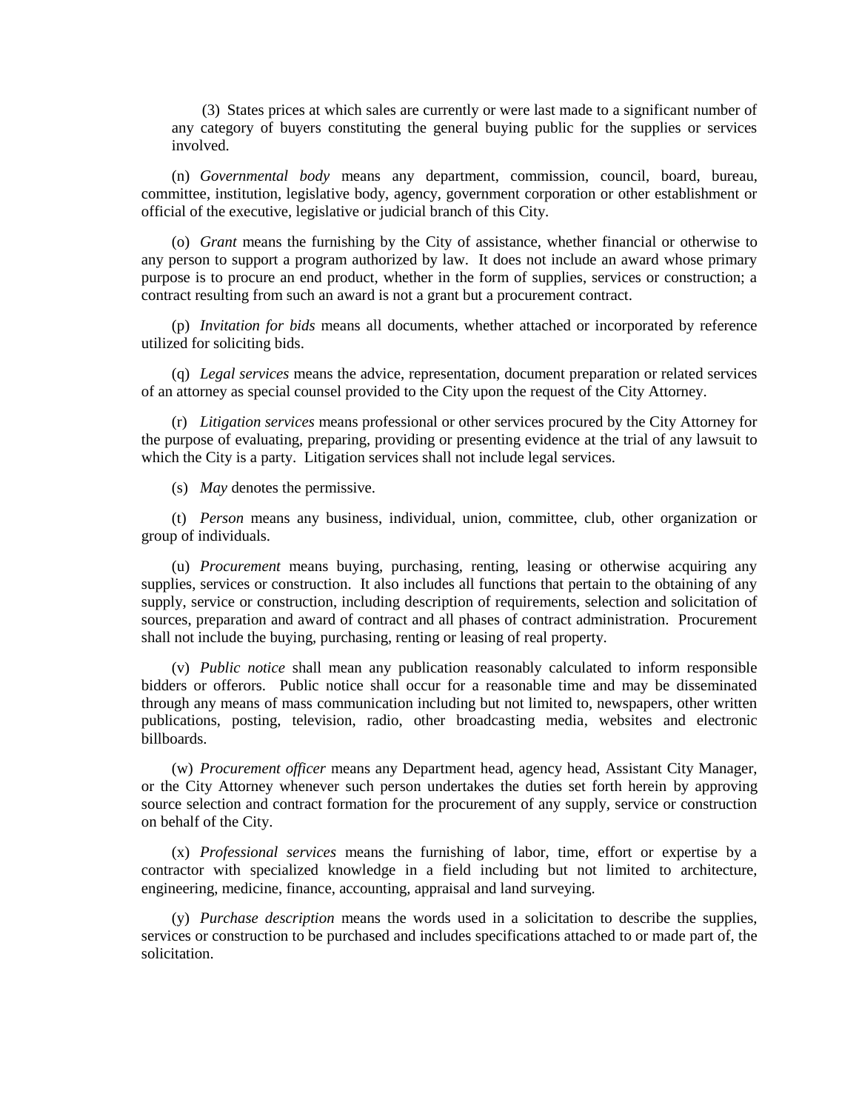(3) States prices at which sales are currently or were last made to a significant number of any category of buyers constituting the general buying public for the supplies or services involved.

(n) *Governmental body* means any department, commission, council, board, bureau, committee, institution, legislative body, agency, government corporation or other establishment or official of the executive, legislative or judicial branch of this City.

(o) *Grant* means the furnishing by the City of assistance, whether financial or otherwise to any person to support a program authorized by law. It does not include an award whose primary purpose is to procure an end product, whether in the form of supplies, services or construction; a contract resulting from such an award is not a grant but a procurement contract.

(p) *Invitation for bids* means all documents, whether attached or incorporated by reference utilized for soliciting bids.

(q) *Legal services* means the advice, representation, document preparation or related services of an attorney as special counsel provided to the City upon the request of the City Attorney.

(r) *Litigation services* means professional or other services procured by the City Attorney for the purpose of evaluating, preparing, providing or presenting evidence at the trial of any lawsuit to which the City is a party. Litigation services shall not include legal services.

(s) *May* denotes the permissive.

(t) *Person* means any business, individual, union, committee, club, other organization or group of individuals.

(u) *Procurement* means buying, purchasing, renting, leasing or otherwise acquiring any supplies, services or construction. It also includes all functions that pertain to the obtaining of any supply, service or construction, including description of requirements, selection and solicitation of sources, preparation and award of contract and all phases of contract administration. Procurement shall not include the buying, purchasing, renting or leasing of real property.

(v) *Public notice* shall mean any publication reasonably calculated to inform responsible bidders or offerors. Public notice shall occur for a reasonable time and may be disseminated through any means of mass communication including but not limited to, newspapers, other written publications, posting, television, radio, other broadcasting media, websites and electronic billboards.

(w) *Procurement officer* means any Department head, agency head, Assistant City Manager, or the City Attorney whenever such person undertakes the duties set forth herein by approving source selection and contract formation for the procurement of any supply, service or construction on behalf of the City.

(x) *Professional services* means the furnishing of labor, time, effort or expertise by a contractor with specialized knowledge in a field including but not limited to architecture, engineering, medicine, finance, accounting, appraisal and land surveying.

(y) *Purchase description* means the words used in a solicitation to describe the supplies, services or construction to be purchased and includes specifications attached to or made part of, the solicitation.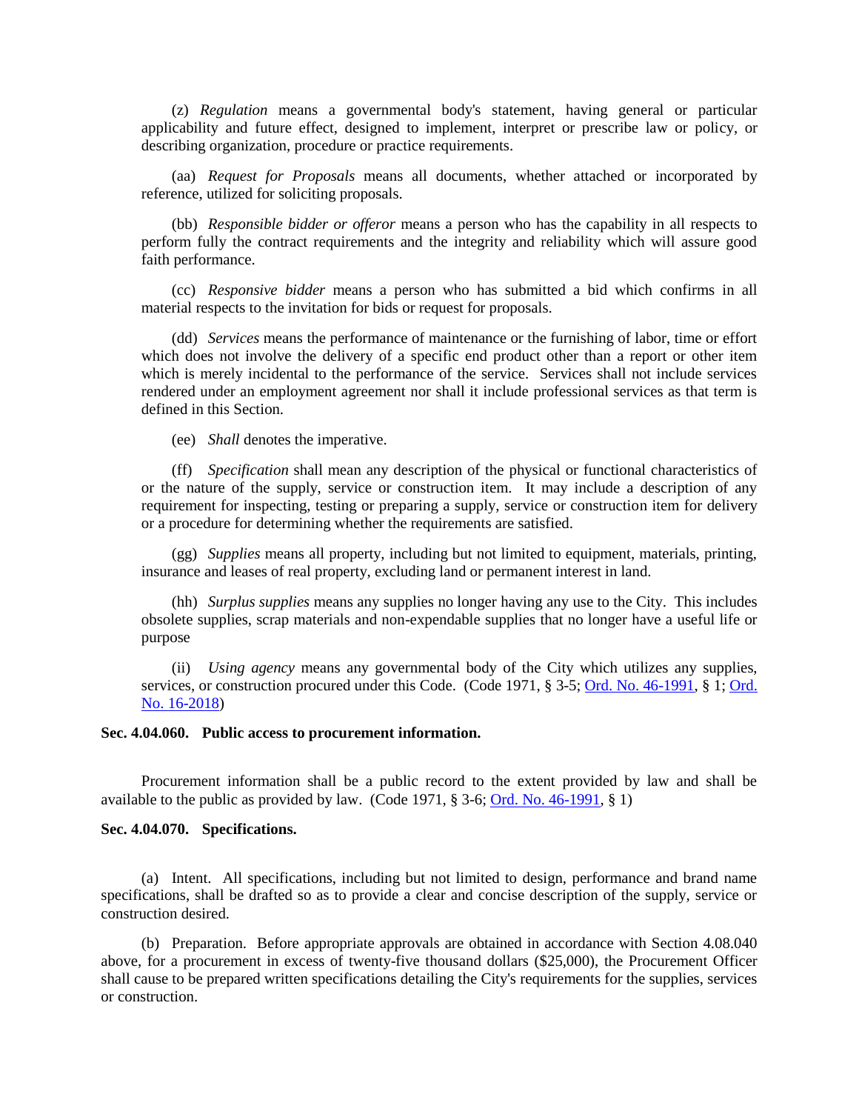(z) *Regulation* means a governmental body's statement, having general or particular applicability and future effect, designed to implement, interpret or prescribe law or policy, or describing organization, procedure or practice requirements.

(aa) *Request for Proposals* means all documents, whether attached or incorporated by reference, utilized for soliciting proposals.

(bb) *Responsible bidder or offeror* means a person who has the capability in all respects to perform fully the contract requirements and the integrity and reliability which will assure good faith performance.

(cc) *Responsive bidder* means a person who has submitted a bid which confirms in all material respects to the invitation for bids or request for proposals.

(dd) *Services* means the performance of maintenance or the furnishing of labor, time or effort which does not involve the delivery of a specific end product other than a report or other item which is merely incidental to the performance of the service. Services shall not include services rendered under an employment agreement nor shall it include professional services as that term is defined in this Section.

(ee) *Shall* denotes the imperative.

(ff) *Specification* shall mean any description of the physical or functional characteristics of or the nature of the supply, service or construction item. It may include a description of any requirement for inspecting, testing or preparing a supply, service or construction item for delivery or a procedure for determining whether the requirements are satisfied.

(gg) *Supplies* means all property, including but not limited to equipment, materials, printing, insurance and leases of real property, excluding land or permanent interest in land.

(hh) *Surplus supplies* means any supplies no longer having any use to the City. This includes obsolete supplies, scrap materials and non-expendable supplies that no longer have a useful life or purpose

(ii) *Using agency* means any governmental body of the City which utilizes any supplies, services, or construction procured under this Code. (Code 1971, § 3-5[; Ord. No. 46-1991,](http://205.170.51.183/WebLink8/0/doc/3338/Page1.aspx) § 1; [Ord.](https://records.cityofaspen.com/WebLink/0/doc/1035306/Page1.aspx)  [No. 16-2018\)](https://records.cityofaspen.com/WebLink/0/doc/1035306/Page1.aspx)

### <span id="page-5-0"></span>**Sec. 4.04.060. Public access to procurement information.**

Procurement information shall be a public record to the extent provided by law and shall be available to the public as provided by law. (Code 1971, § 3-6; [Ord. No. 46-1991,](http://205.170.51.183/WebLink8/0/doc/3338/Page1.aspx) § 1)

### <span id="page-5-1"></span>**Sec. 4.04.070. Specifications.**

(a) Intent. All specifications, including but not limited to design, performance and brand name specifications, shall be drafted so as to provide a clear and concise description of the supply, service or construction desired.

(b) Preparation. Before appropriate approvals are obtained in accordance with Section 4.08.040 above, for a procurement in excess of twenty-five thousand dollars (\$25,000), the Procurement Officer shall cause to be prepared written specifications detailing the City's requirements for the supplies, services or construction.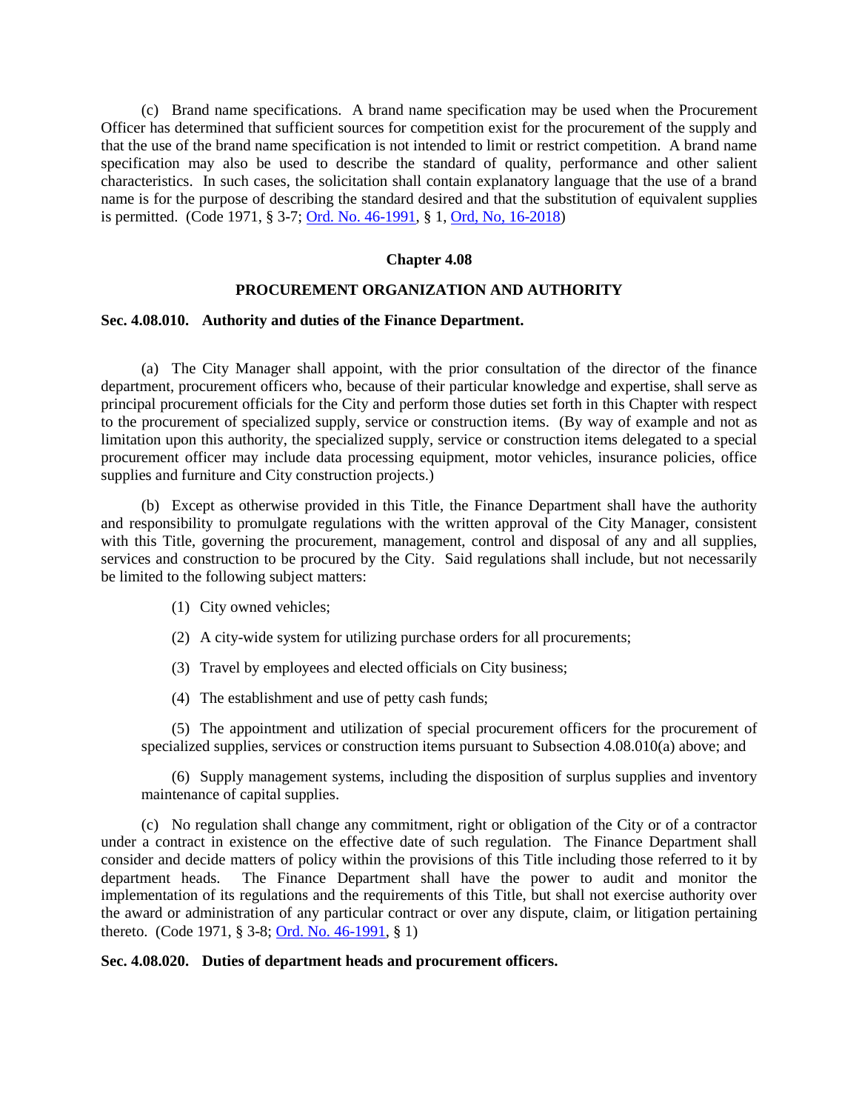(c) Brand name specifications. A brand name specification may be used when the Procurement Officer has determined that sufficient sources for competition exist for the procurement of the supply and that the use of the brand name specification is not intended to limit or restrict competition. A brand name specification may also be used to describe the standard of quality, performance and other salient characteristics. In such cases, the solicitation shall contain explanatory language that the use of a brand name is for the purpose of describing the standard desired and that the substitution of equivalent supplies is permitted. (Code 1971, § 3-7; [Ord. No. 46-1991,](http://205.170.51.183/WebLink8/0/doc/3338/Page1.aspx) § 1, [Ord, No, 16-2018\)](https://records.cityofaspen.com/WebLink/0/doc/1035306/Page1.aspx)

### **Chapter 4.08**

### **PROCUREMENT ORGANIZATION AND AUTHORITY**

### <span id="page-6-0"></span>**Sec. 4.08.010. Authority and duties of the Finance Department.**

(a) The City Manager shall appoint, with the prior consultation of the director of the finance department, procurement officers who, because of their particular knowledge and expertise, shall serve as principal procurement officials for the City and perform those duties set forth in this Chapter with respect to the procurement of specialized supply, service or construction items. (By way of example and not as limitation upon this authority, the specialized supply, service or construction items delegated to a special procurement officer may include data processing equipment, motor vehicles, insurance policies, office supplies and furniture and City construction projects.)

(b) Except as otherwise provided in this Title, the Finance Department shall have the authority and responsibility to promulgate regulations with the written approval of the City Manager, consistent with this Title, governing the procurement, management, control and disposal of any and all supplies, services and construction to be procured by the City. Said regulations shall include, but not necessarily be limited to the following subject matters:

- (1) City owned vehicles;
- (2) A city-wide system for utilizing purchase orders for all procurements;
- (3) Travel by employees and elected officials on City business;
- (4) The establishment and use of petty cash funds;

(5) The appointment and utilization of special procurement officers for the procurement of specialized supplies, services or construction items pursuant to Subsection 4.08.010(a) above; and

(6) Supply management systems, including the disposition of surplus supplies and inventory maintenance of capital supplies.

(c) No regulation shall change any commitment, right or obligation of the City or of a contractor under a contract in existence on the effective date of such regulation. The Finance Department shall consider and decide matters of policy within the provisions of this Title including those referred to it by department heads. The Finance Department shall have the power to audit and monitor the implementation of its regulations and the requirements of this Title, but shall not exercise authority over the award or administration of any particular contract or over any dispute, claim, or litigation pertaining thereto. (Code 1971, § 3-8; [Ord. No. 46-1991,](http://205.170.51.183/WebLink8/0/doc/3338/Page1.aspx) § 1)

### <span id="page-6-1"></span>**Sec. 4.08.020. Duties of department heads and procurement officers.**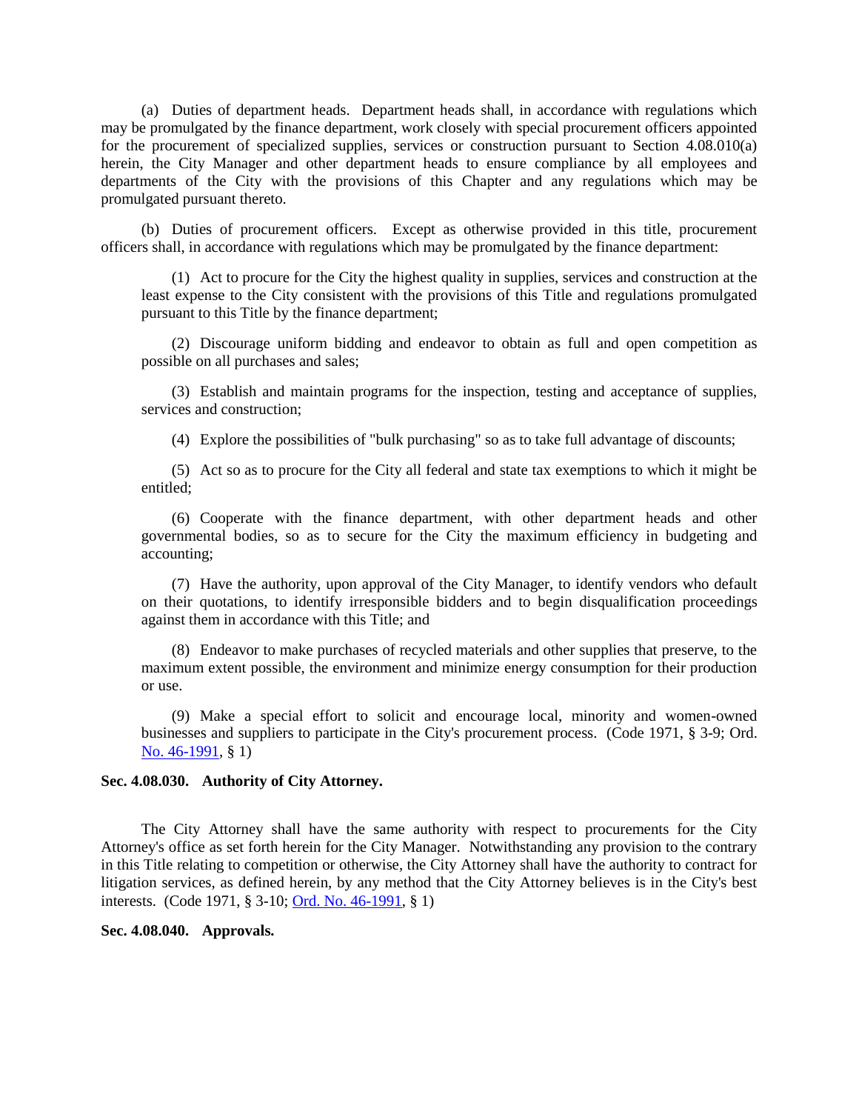(a) Duties of department heads. Department heads shall, in accordance with regulations which may be promulgated by the finance department, work closely with special procurement officers appointed for the procurement of specialized supplies, services or construction pursuant to Section 4.08.010(a) herein, the City Manager and other department heads to ensure compliance by all employees and departments of the City with the provisions of this Chapter and any regulations which may be promulgated pursuant thereto.

(b) Duties of procurement officers. Except as otherwise provided in this title, procurement officers shall, in accordance with regulations which may be promulgated by the finance department:

(1) Act to procure for the City the highest quality in supplies, services and construction at the least expense to the City consistent with the provisions of this Title and regulations promulgated pursuant to this Title by the finance department;

(2) Discourage uniform bidding and endeavor to obtain as full and open competition as possible on all purchases and sales;

(3) Establish and maintain programs for the inspection, testing and acceptance of supplies, services and construction;

(4) Explore the possibilities of "bulk purchasing" so as to take full advantage of discounts;

(5) Act so as to procure for the City all federal and state tax exemptions to which it might be entitled;

(6) Cooperate with the finance department, with other department heads and other governmental bodies, so as to secure for the City the maximum efficiency in budgeting and accounting;

(7) Have the authority, upon approval of the City Manager, to identify vendors who default on their quotations, to identify irresponsible bidders and to begin disqualification proceedings against them in accordance with this Title; and

(8) Endeavor to make purchases of recycled materials and other supplies that preserve, to the maximum extent possible, the environment and minimize energy consumption for their production or use.

(9) Make a special effort to solicit and encourage local, minority and women-owned businesses and suppliers to participate in the City's procurement process. (Code 1971, § 3-9; Ord. [No. 46-1991,](http://205.170.51.183/WebLink8/0/doc/3338/Page1.aspx) § 1)

### <span id="page-7-0"></span>**Sec. 4.08.030. Authority of City Attorney.**

The City Attorney shall have the same authority with respect to procurements for the City Attorney's office as set forth herein for the City Manager. Notwithstanding any provision to the contrary in this Title relating to competition or otherwise, the City Attorney shall have the authority to contract for litigation services, as defined herein, by any method that the City Attorney believes is in the City's best interests. (Code 1971, § 3-10; [Ord. No. 46-1991,](http://205.170.51.183/WebLink8/0/doc/3338/Page1.aspx) § 1)

<span id="page-7-1"></span>**Sec. 4.08.040. Approvals.**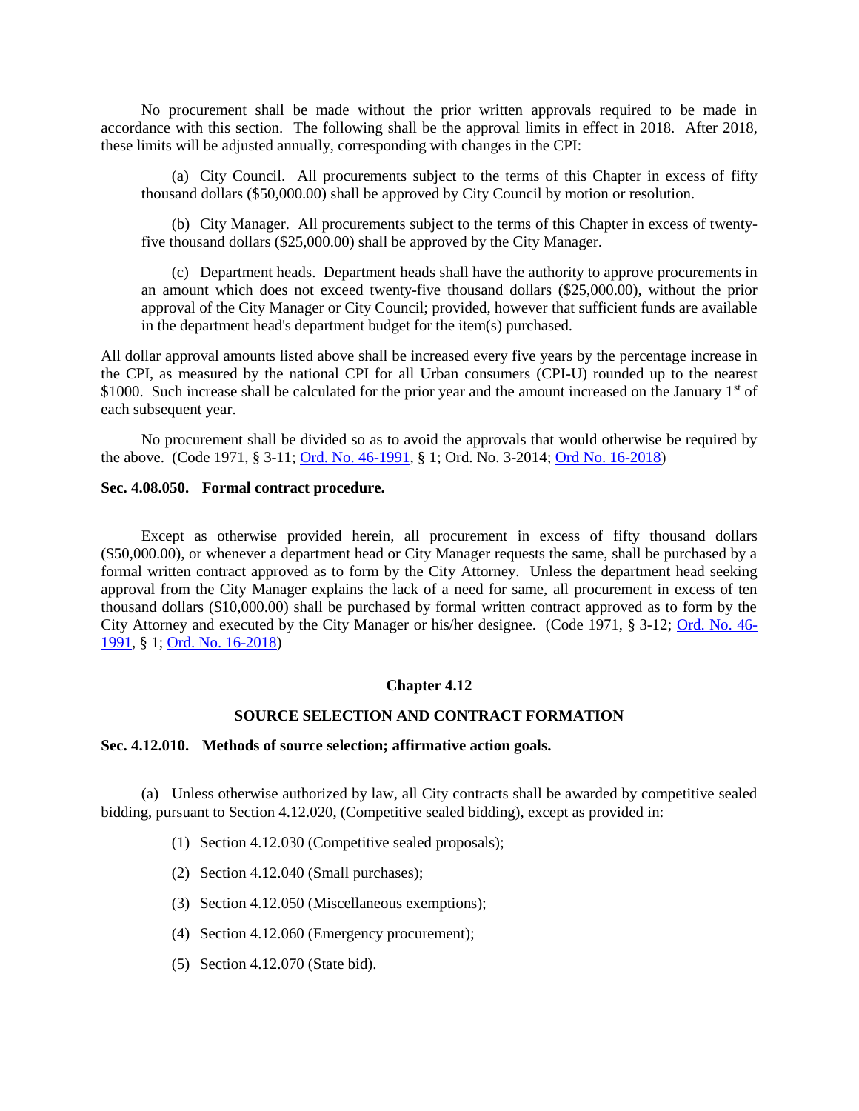No procurement shall be made without the prior written approvals required to be made in accordance with this section. The following shall be the approval limits in effect in 2018. After 2018, these limits will be adjusted annually, corresponding with changes in the CPI:

(a) City Council. All procurements subject to the terms of this Chapter in excess of fifty thousand dollars (\$50,000.00) shall be approved by City Council by motion or resolution.

(b) City Manager. All procurements subject to the terms of this Chapter in excess of twentyfive thousand dollars (\$25,000.00) shall be approved by the City Manager.

(c) Department heads. Department heads shall have the authority to approve procurements in an amount which does not exceed twenty-five thousand dollars (\$25,000.00), without the prior approval of the City Manager or City Council; provided, however that sufficient funds are available in the department head's department budget for the item(s) purchased.

All dollar approval amounts listed above shall be increased every five years by the percentage increase in the CPI, as measured by the national CPI for all Urban consumers (CPI-U) rounded up to the nearest \$1000. Such increase shall be calculated for the prior year and the amount increased on the January  $1<sup>st</sup>$  of each subsequent year.

No procurement shall be divided so as to avoid the approvals that would otherwise be required by the above. (Code 1971, § 3-11; [Ord. No. 46-1991,](http://205.170.51.183/WebLink8/0/doc/3338/Page1.aspx) § 1; Ord. No. 3-2014; [Ord No. 16-2018\)](https://records.cityofaspen.com/WebLink/0/doc/1035306/Page1.aspx)

# <span id="page-8-0"></span>**Sec. 4.08.050. Formal contract procedure.**

Except as otherwise provided herein, all procurement in excess of fifty thousand dollars (\$50,000.00), or whenever a department head or City Manager requests the same, shall be purchased by a formal written contract approved as to form by the City Attorney. Unless the department head seeking approval from the City Manager explains the lack of a need for same, all procurement in excess of ten thousand dollars (\$10,000.00) shall be purchased by formal written contract approved as to form by the City Attorney and executed by the City Manager or his/her designee. (Code 1971, § 3-12; [Ord. No. 46-](http://205.170.51.183/WebLink8/0/doc/3338/Page1.aspx) [1991,](http://205.170.51.183/WebLink8/0/doc/3338/Page1.aspx) § 1; [Ord. No. 16-2018\)](https://records.cityofaspen.com/WebLink/0/doc/1035306/Page1.aspx)

#### **Chapter 4.12**

### **SOURCE SELECTION AND CONTRACT FORMATION**

#### <span id="page-8-1"></span>**Sec. 4.12.010. Methods of source selection; affirmative action goals.**

(a) Unless otherwise authorized by law, all City contracts shall be awarded by competitive sealed bidding, pursuant to Section 4.12.020, (Competitive sealed bidding), except as provided in:

- (1) Section 4.12.030 (Competitive sealed proposals);
- (2) Section 4.12.040 (Small purchases);
- (3) Section 4.12.050 (Miscellaneous exemptions);
- (4) Section 4.12.060 (Emergency procurement);
- (5) Section 4.12.070 (State bid).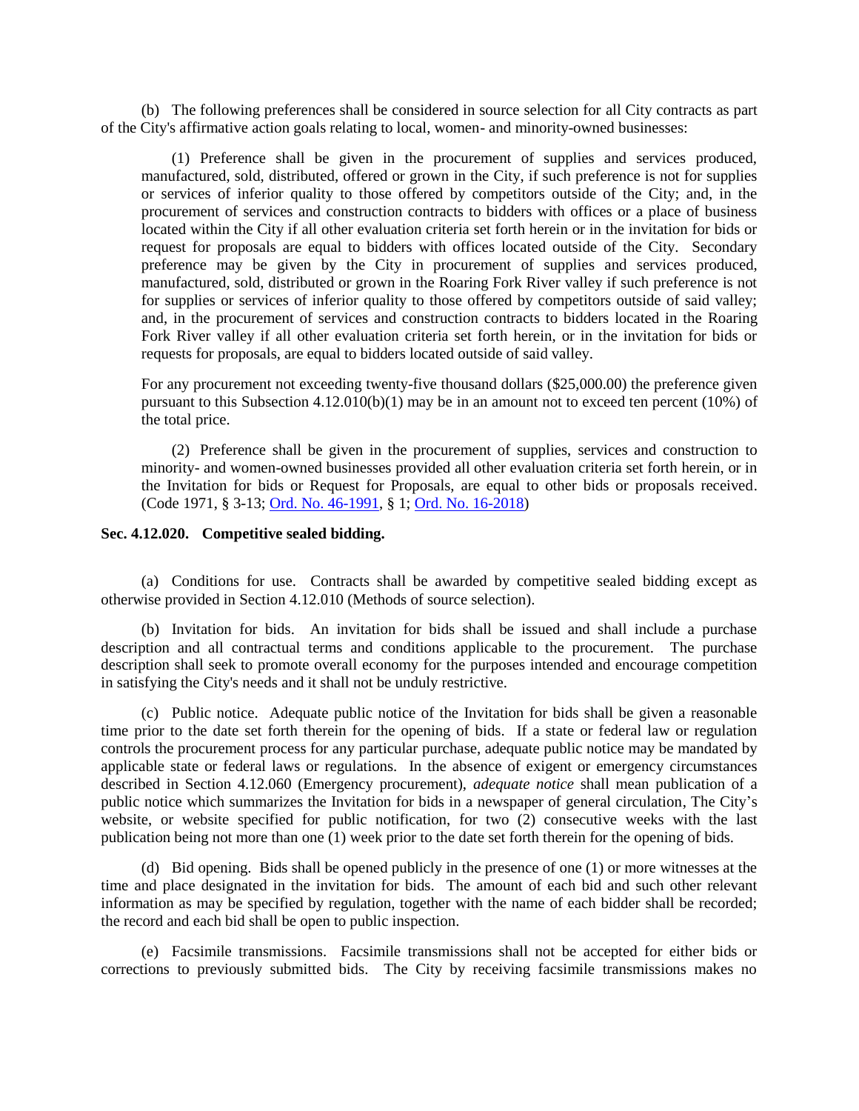(b) The following preferences shall be considered in source selection for all City contracts as part of the City's affirmative action goals relating to local, women- and minority-owned businesses:

(1) Preference shall be given in the procurement of supplies and services produced, manufactured, sold, distributed, offered or grown in the City, if such preference is not for supplies or services of inferior quality to those offered by competitors outside of the City; and, in the procurement of services and construction contracts to bidders with offices or a place of business located within the City if all other evaluation criteria set forth herein or in the invitation for bids or request for proposals are equal to bidders with offices located outside of the City. Secondary preference may be given by the City in procurement of supplies and services produced, manufactured, sold, distributed or grown in the Roaring Fork River valley if such preference is not for supplies or services of inferior quality to those offered by competitors outside of said valley; and, in the procurement of services and construction contracts to bidders located in the Roaring Fork River valley if all other evaluation criteria set forth herein, or in the invitation for bids or requests for proposals, are equal to bidders located outside of said valley.

For any procurement not exceeding twenty-five thousand dollars (\$25,000.00) the preference given pursuant to this Subsection 4.12.010(b)(1) may be in an amount not to exceed ten percent (10%) of the total price.

(2) Preference shall be given in the procurement of supplies, services and construction to minority- and women-owned businesses provided all other evaluation criteria set forth herein, or in the Invitation for bids or Request for Proposals, are equal to other bids or proposals received. (Code 1971, § 3-13; [Ord. No. 46-1991,](http://205.170.51.183/WebLink8/0/doc/3338/Page1.aspx) § 1; [Ord. No. 16-2018\)](https://records.cityofaspen.com/WebLink/0/doc/1035306/Page1.aspx)

### <span id="page-9-0"></span>**Sec. 4.12.020. Competitive sealed bidding.**

(a) Conditions for use. Contracts shall be awarded by competitive sealed bidding except as otherwise provided in Section 4.12.010 (Methods of source selection).

(b) Invitation for bids. An invitation for bids shall be issued and shall include a purchase description and all contractual terms and conditions applicable to the procurement. The purchase description shall seek to promote overall economy for the purposes intended and encourage competition in satisfying the City's needs and it shall not be unduly restrictive.

(c) Public notice. Adequate public notice of the Invitation for bids shall be given a reasonable time prior to the date set forth therein for the opening of bids. If a state or federal law or regulation controls the procurement process for any particular purchase, adequate public notice may be mandated by applicable state or federal laws or regulations. In the absence of exigent or emergency circumstances described in Section 4.12.060 (Emergency procurement), *adequate notice* shall mean publication of a public notice which summarizes the Invitation for bids in a newspaper of general circulation, The City's website, or website specified for public notification, for two (2) consecutive weeks with the last publication being not more than one (1) week prior to the date set forth therein for the opening of bids.

(d) Bid opening. Bids shall be opened publicly in the presence of one (1) or more witnesses at the time and place designated in the invitation for bids. The amount of each bid and such other relevant information as may be specified by regulation, together with the name of each bidder shall be recorded; the record and each bid shall be open to public inspection.

(e) Facsimile transmissions. Facsimile transmissions shall not be accepted for either bids or corrections to previously submitted bids. The City by receiving facsimile transmissions makes no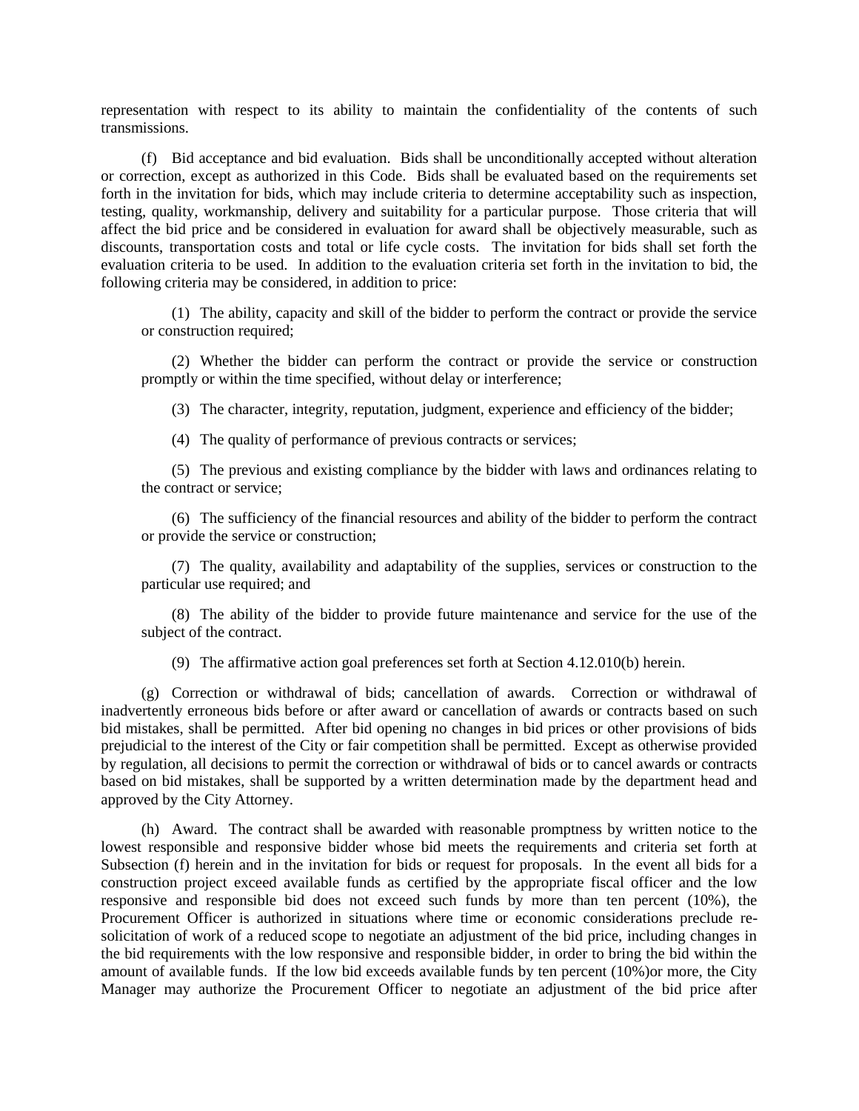representation with respect to its ability to maintain the confidentiality of the contents of such transmissions.

(f) Bid acceptance and bid evaluation. Bids shall be unconditionally accepted without alteration or correction, except as authorized in this Code. Bids shall be evaluated based on the requirements set forth in the invitation for bids, which may include criteria to determine acceptability such as inspection, testing, quality, workmanship, delivery and suitability for a particular purpose. Those criteria that will affect the bid price and be considered in evaluation for award shall be objectively measurable, such as discounts, transportation costs and total or life cycle costs. The invitation for bids shall set forth the evaluation criteria to be used. In addition to the evaluation criteria set forth in the invitation to bid, the following criteria may be considered, in addition to price:

(1) The ability, capacity and skill of the bidder to perform the contract or provide the service or construction required;

(2) Whether the bidder can perform the contract or provide the service or construction promptly or within the time specified, without delay or interference;

(3) The character, integrity, reputation, judgment, experience and efficiency of the bidder;

(4) The quality of performance of previous contracts or services;

(5) The previous and existing compliance by the bidder with laws and ordinances relating to the contract or service;

(6) The sufficiency of the financial resources and ability of the bidder to perform the contract or provide the service or construction;

(7) The quality, availability and adaptability of the supplies, services or construction to the particular use required; and

(8) The ability of the bidder to provide future maintenance and service for the use of the subject of the contract.

(9) The affirmative action goal preferences set forth at Section 4.12.010(b) herein.

(g) Correction or withdrawal of bids; cancellation of awards. Correction or withdrawal of inadvertently erroneous bids before or after award or cancellation of awards or contracts based on such bid mistakes, shall be permitted. After bid opening no changes in bid prices or other provisions of bids prejudicial to the interest of the City or fair competition shall be permitted. Except as otherwise provided by regulation, all decisions to permit the correction or withdrawal of bids or to cancel awards or contracts based on bid mistakes, shall be supported by a written determination made by the department head and approved by the City Attorney.

(h) Award. The contract shall be awarded with reasonable promptness by written notice to the lowest responsible and responsive bidder whose bid meets the requirements and criteria set forth at Subsection (f) herein and in the invitation for bids or request for proposals. In the event all bids for a construction project exceed available funds as certified by the appropriate fiscal officer and the low responsive and responsible bid does not exceed such funds by more than ten percent (10%), the Procurement Officer is authorized in situations where time or economic considerations preclude resolicitation of work of a reduced scope to negotiate an adjustment of the bid price, including changes in the bid requirements with the low responsive and responsible bidder, in order to bring the bid within the amount of available funds. If the low bid exceeds available funds by ten percent (10%)or more, the City Manager may authorize the Procurement Officer to negotiate an adjustment of the bid price after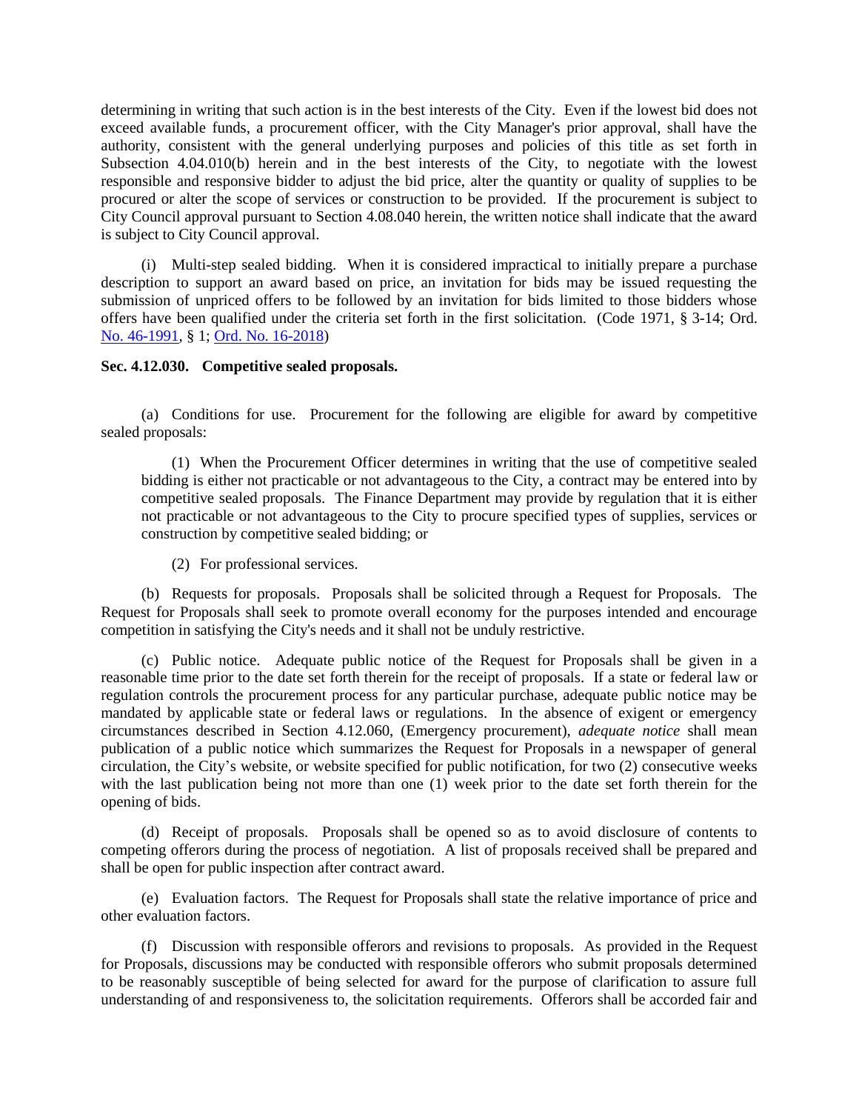determining in writing that such action is in the best interests of the City. Even if the lowest bid does not exceed available funds, a procurement officer, with the City Manager's prior approval, shall have the authority, consistent with the general underlying purposes and policies of this title as set forth in Subsection 4.04.010(b) herein and in the best interests of the City, to negotiate with the lowest responsible and responsive bidder to adjust the bid price, alter the quantity or quality of supplies to be procured or alter the scope of services or construction to be provided. If the procurement is subject to City Council approval pursuant to Section 4.08.040 herein, the written notice shall indicate that the award is subject to City Council approval.

(i) Multi-step sealed bidding. When it is considered impractical to initially prepare a purchase description to support an award based on price, an invitation for bids may be issued requesting the submission of unpriced offers to be followed by an invitation for bids limited to those bidders whose offers have been qualified under the criteria set forth in the first solicitation. (Code 1971, § 3-14; Ord. [No. 46-1991,](http://205.170.51.183/WebLink8/0/doc/3338/Page1.aspx) § 1; [Ord. No. 16-2018\)](https://records.cityofaspen.com/WebLink/0/doc/1035306/Page1.aspx)

### <span id="page-11-0"></span>**Sec. 4.12.030. Competitive sealed proposals.**

(a) Conditions for use. Procurement for the following are eligible for award by competitive sealed proposals:

(1) When the Procurement Officer determines in writing that the use of competitive sealed bidding is either not practicable or not advantageous to the City, a contract may be entered into by competitive sealed proposals. The Finance Department may provide by regulation that it is either not practicable or not advantageous to the City to procure specified types of supplies, services or construction by competitive sealed bidding; or

(2) For professional services.

(b) Requests for proposals. Proposals shall be solicited through a Request for Proposals. The Request for Proposals shall seek to promote overall economy for the purposes intended and encourage competition in satisfying the City's needs and it shall not be unduly restrictive.

(c) Public notice. Adequate public notice of the Request for Proposals shall be given in a reasonable time prior to the date set forth therein for the receipt of proposals. If a state or federal law or regulation controls the procurement process for any particular purchase, adequate public notice may be mandated by applicable state or federal laws or regulations. In the absence of exigent or emergency circumstances described in Section 4.12.060, (Emergency procurement), *adequate notice* shall mean publication of a public notice which summarizes the Request for Proposals in a newspaper of general circulation, the City's website, or website specified for public notification, for two (2) consecutive weeks with the last publication being not more than one (1) week prior to the date set forth therein for the opening of bids.

(d) Receipt of proposals. Proposals shall be opened so as to avoid disclosure of contents to competing offerors during the process of negotiation. A list of proposals received shall be prepared and shall be open for public inspection after contract award.

(e) Evaluation factors. The Request for Proposals shall state the relative importance of price and other evaluation factors.

(f) Discussion with responsible offerors and revisions to proposals. As provided in the Request for Proposals, discussions may be conducted with responsible offerors who submit proposals determined to be reasonably susceptible of being selected for award for the purpose of clarification to assure full understanding of and responsiveness to, the solicitation requirements. Offerors shall be accorded fair and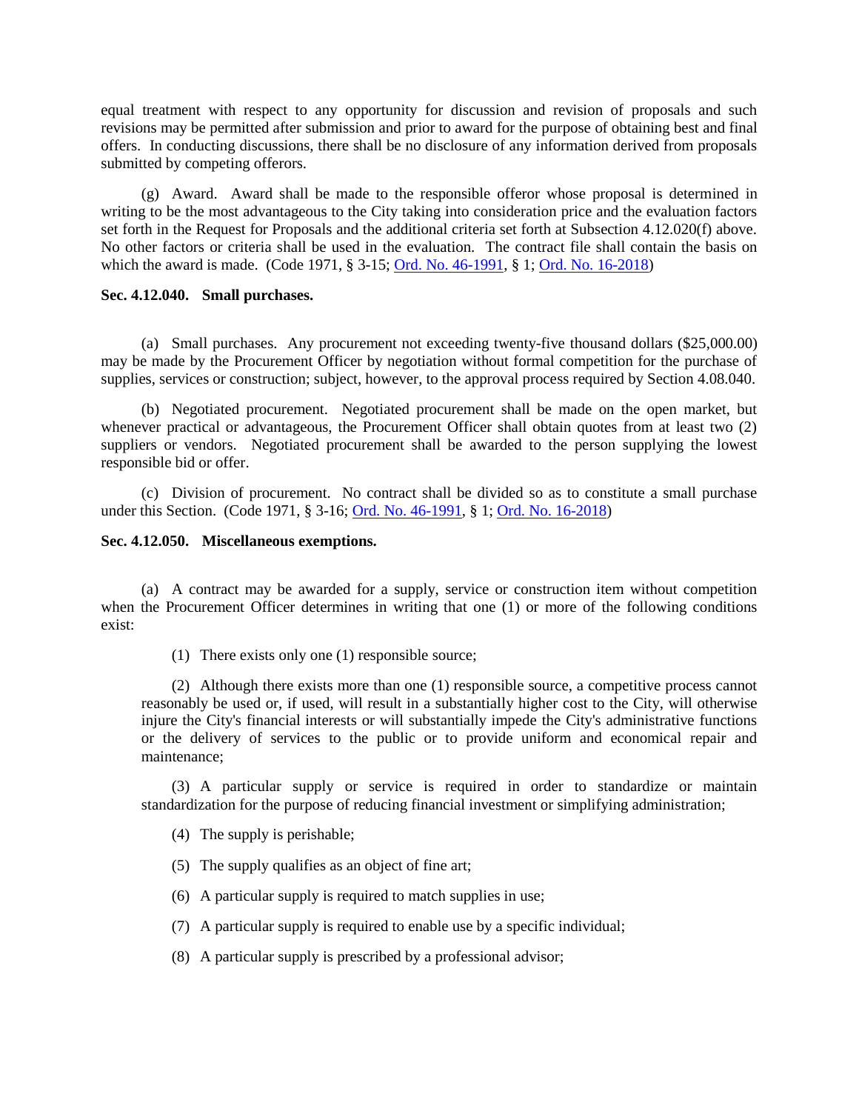equal treatment with respect to any opportunity for discussion and revision of proposals and such revisions may be permitted after submission and prior to award for the purpose of obtaining best and final offers. In conducting discussions, there shall be no disclosure of any information derived from proposals submitted by competing offerors.

(g) Award. Award shall be made to the responsible offeror whose proposal is determined in writing to be the most advantageous to the City taking into consideration price and the evaluation factors set forth in the Request for Proposals and the additional criteria set forth at Subsection 4.12.020(f) above. No other factors or criteria shall be used in the evaluation. The contract file shall contain the basis on which the award is made. (Code 1971, § 3-15; [Ord. No. 46-1991,](http://205.170.51.183/WebLink8/0/doc/3338/Page1.aspx) § 1; [Ord. No. 16-2018\)](https://records.cityofaspen.com/WebLink/0/doc/1035306/Page1.aspx)

### <span id="page-12-0"></span>**Sec. 4.12.040. Small purchases.**

(a) Small purchases. Any procurement not exceeding twenty-five thousand dollars (\$25,000.00) may be made by the Procurement Officer by negotiation without formal competition for the purchase of supplies, services or construction; subject, however, to the approval process required by Section 4.08.040.

(b) Negotiated procurement. Negotiated procurement shall be made on the open market, but whenever practical or advantageous, the Procurement Officer shall obtain quotes from at least two (2) suppliers or vendors. Negotiated procurement shall be awarded to the person supplying the lowest responsible bid or offer.

(c) Division of procurement. No contract shall be divided so as to constitute a small purchase under this Section. (Code 1971, § 3-16; [Ord. No. 46-1991,](http://205.170.51.183/WebLink8/0/doc/3338/Page1.aspx) § 1; [Ord. No. 16-2018\)](https://records.cityofaspen.com/WebLink/0/doc/1035306/Page1.aspx)

### <span id="page-12-1"></span>**Sec. 4.12.050. Miscellaneous exemptions.**

(a) A contract may be awarded for a supply, service or construction item without competition when the Procurement Officer determines in writing that one (1) or more of the following conditions exist:

(1) There exists only one (1) responsible source;

(2) Although there exists more than one (1) responsible source, a competitive process cannot reasonably be used or, if used, will result in a substantially higher cost to the City, will otherwise injure the City's financial interests or will substantially impede the City's administrative functions or the delivery of services to the public or to provide uniform and economical repair and maintenance;

(3) A particular supply or service is required in order to standardize or maintain standardization for the purpose of reducing financial investment or simplifying administration;

- (4) The supply is perishable;
- (5) The supply qualifies as an object of fine art;
- (6) A particular supply is required to match supplies in use;
- (7) A particular supply is required to enable use by a specific individual;
- (8) A particular supply is prescribed by a professional advisor;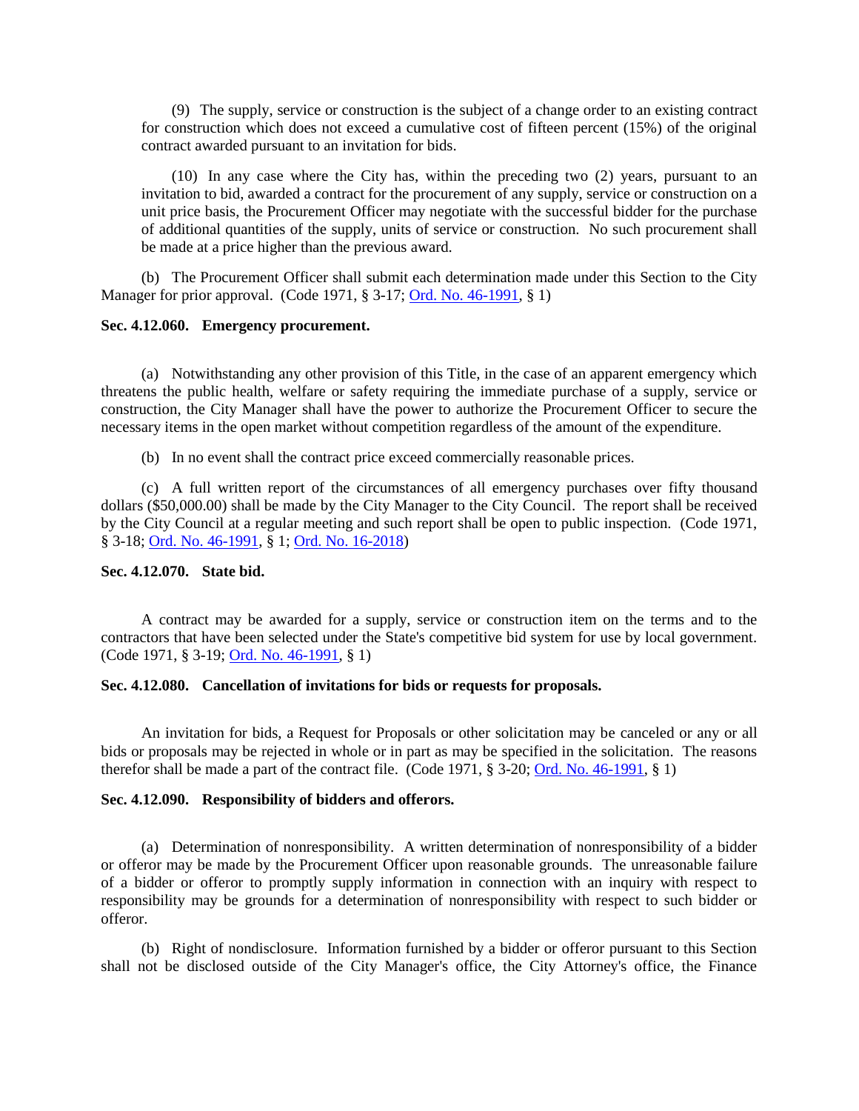(9) The supply, service or construction is the subject of a change order to an existing contract for construction which does not exceed a cumulative cost of fifteen percent (15%) of the original contract awarded pursuant to an invitation for bids.

(10) In any case where the City has, within the preceding two (2) years, pursuant to an invitation to bid, awarded a contract for the procurement of any supply, service or construction on a unit price basis, the Procurement Officer may negotiate with the successful bidder for the purchase of additional quantities of the supply, units of service or construction. No such procurement shall be made at a price higher than the previous award.

(b) The Procurement Officer shall submit each determination made under this Section to the City Manager for prior approval. (Code 1971, § 3-17; [Ord. No. 46-1991,](http://205.170.51.183/WebLink8/0/doc/3338/Page1.aspx) § 1)

### <span id="page-13-0"></span>**Sec. 4.12.060. Emergency procurement.**

(a) Notwithstanding any other provision of this Title, in the case of an apparent emergency which threatens the public health, welfare or safety requiring the immediate purchase of a supply, service or construction, the City Manager shall have the power to authorize the Procurement Officer to secure the necessary items in the open market without competition regardless of the amount of the expenditure.

(b) In no event shall the contract price exceed commercially reasonable prices.

(c) A full written report of the circumstances of all emergency purchases over fifty thousand dollars (\$50,000.00) shall be made by the City Manager to the City Council. The report shall be received by the City Council at a regular meeting and such report shall be open to public inspection. (Code 1971, § 3-18; [Ord. No. 46-1991,](http://205.170.51.183/WebLink8/0/doc/3338/Page1.aspx) § 1; [Ord. No. 16-2018\)](https://records.cityofaspen.com/WebLink/0/doc/1035306/Page1.aspx)

# <span id="page-13-1"></span>**Sec. 4.12.070. State bid.**

A contract may be awarded for a supply, service or construction item on the terms and to the contractors that have been selected under the State's competitive bid system for use by local government. (Code 1971, § 3-19; [Ord. No. 46-1991,](http://205.170.51.183/WebLink8/0/doc/3338/Page1.aspx) § 1)

### <span id="page-13-2"></span>**Sec. 4.12.080. Cancellation of invitations for bids or requests for proposals.**

An invitation for bids, a Request for Proposals or other solicitation may be canceled or any or all bids or proposals may be rejected in whole or in part as may be specified in the solicitation. The reasons therefor shall be made a part of the contract file. (Code 1971, § 3-20; [Ord. No. 46-1991,](http://205.170.51.183/WebLink8/0/doc/3338/Page1.aspx) § 1)

### <span id="page-13-3"></span>**Sec. 4.12.090. Responsibility of bidders and offerors.**

(a) Determination of nonresponsibility. A written determination of nonresponsibility of a bidder or offeror may be made by the Procurement Officer upon reasonable grounds. The unreasonable failure of a bidder or offeror to promptly supply information in connection with an inquiry with respect to responsibility may be grounds for a determination of nonresponsibility with respect to such bidder or offeror.

(b) Right of nondisclosure. Information furnished by a bidder or offeror pursuant to this Section shall not be disclosed outside of the City Manager's office, the City Attorney's office, the Finance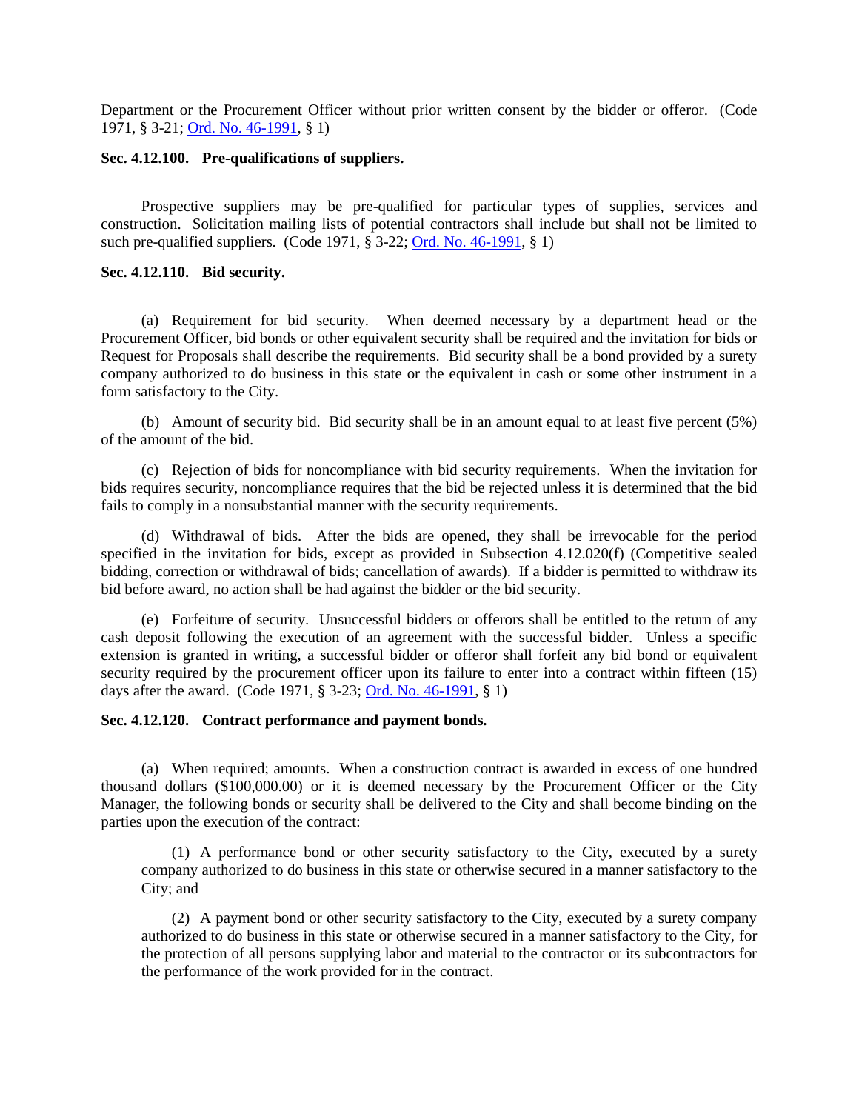Department or the Procurement Officer without prior written consent by the bidder or offeror. (Code 1971, § 3-21[; Ord. No. 46-1991,](http://205.170.51.183/WebLink8/0/doc/3338/Page1.aspx) § 1)

### <span id="page-14-0"></span>**Sec. 4.12.100. Pre-qualifications of suppliers.**

Prospective suppliers may be pre-qualified for particular types of supplies, services and construction. Solicitation mailing lists of potential contractors shall include but shall not be limited to such pre-qualified suppliers. (Code 1971, § 3-22; [Ord. No. 46-1991,](http://205.170.51.183/WebLink8/0/doc/3338/Page1.aspx) § 1)

# <span id="page-14-1"></span>**Sec. 4.12.110. Bid security.**

(a) Requirement for bid security. When deemed necessary by a department head or the Procurement Officer, bid bonds or other equivalent security shall be required and the invitation for bids or Request for Proposals shall describe the requirements. Bid security shall be a bond provided by a surety company authorized to do business in this state or the equivalent in cash or some other instrument in a form satisfactory to the City.

(b) Amount of security bid. Bid security shall be in an amount equal to at least five percent (5%) of the amount of the bid.

(c) Rejection of bids for noncompliance with bid security requirements. When the invitation for bids requires security, noncompliance requires that the bid be rejected unless it is determined that the bid fails to comply in a nonsubstantial manner with the security requirements.

(d) Withdrawal of bids. After the bids are opened, they shall be irrevocable for the period specified in the invitation for bids, except as provided in Subsection 4.12.020(f) (Competitive sealed bidding, correction or withdrawal of bids; cancellation of awards). If a bidder is permitted to withdraw its bid before award, no action shall be had against the bidder or the bid security.

(e) Forfeiture of security. Unsuccessful bidders or offerors shall be entitled to the return of any cash deposit following the execution of an agreement with the successful bidder. Unless a specific extension is granted in writing, a successful bidder or offeror shall forfeit any bid bond or equivalent security required by the procurement officer upon its failure to enter into a contract within fifteen (15) days after the award. (Code 1971, § 3-23; [Ord. No. 46-1991,](http://205.170.51.183/WebLink8/0/doc/3338/Page1.aspx) § 1)

### <span id="page-14-2"></span>**Sec. 4.12.120. Contract performance and payment bonds.**

(a) When required; amounts. When a construction contract is awarded in excess of one hundred thousand dollars (\$100,000.00) or it is deemed necessary by the Procurement Officer or the City Manager, the following bonds or security shall be delivered to the City and shall become binding on the parties upon the execution of the contract:

(1) A performance bond or other security satisfactory to the City, executed by a surety company authorized to do business in this state or otherwise secured in a manner satisfactory to the City; and

(2) A payment bond or other security satisfactory to the City, executed by a surety company authorized to do business in this state or otherwise secured in a manner satisfactory to the City, for the protection of all persons supplying labor and material to the contractor or its subcontractors for the performance of the work provided for in the contract.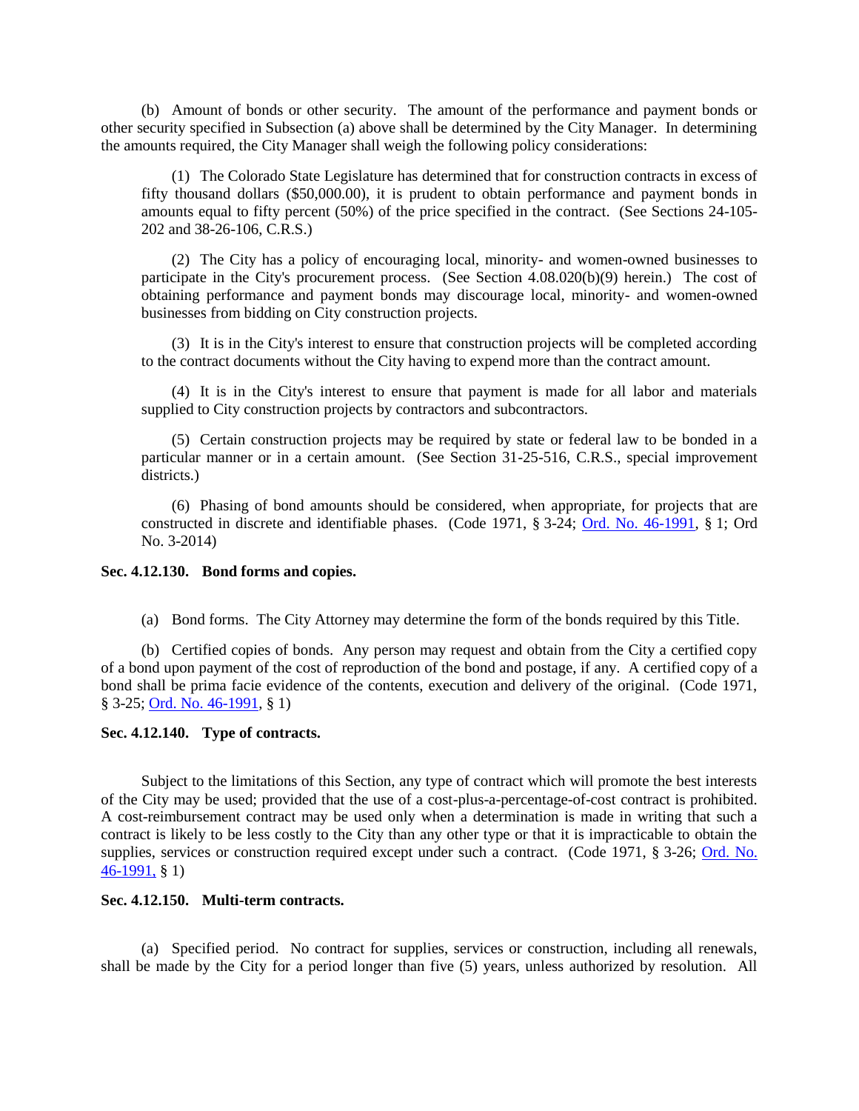(b) Amount of bonds or other security. The amount of the performance and payment bonds or other security specified in Subsection (a) above shall be determined by the City Manager. In determining the amounts required, the City Manager shall weigh the following policy considerations:

(1) The Colorado State Legislature has determined that for construction contracts in excess of fifty thousand dollars (\$50,000.00), it is prudent to obtain performance and payment bonds in amounts equal to fifty percent (50%) of the price specified in the contract. (See Sections 24-105- 202 and 38-26-106, C.R.S.)

(2) The City has a policy of encouraging local, minority- and women-owned businesses to participate in the City's procurement process. (See Section 4.08.020(b)(9) herein.) The cost of obtaining performance and payment bonds may discourage local, minority- and women-owned businesses from bidding on City construction projects.

(3) It is in the City's interest to ensure that construction projects will be completed according to the contract documents without the City having to expend more than the contract amount.

(4) It is in the City's interest to ensure that payment is made for all labor and materials supplied to City construction projects by contractors and subcontractors.

(5) Certain construction projects may be required by state or federal law to be bonded in a particular manner or in a certain amount. (See Section 31-25-516, C.R.S., special improvement districts.)

(6) Phasing of bond amounts should be considered, when appropriate, for projects that are constructed in discrete and identifiable phases. (Code 1971, § 3-24; [Ord. No. 46-1991,](http://205.170.51.183/WebLink8/0/doc/3338/Page1.aspx) § 1; Ord No. 3-2014)

# <span id="page-15-0"></span>**Sec. 4.12.130. Bond forms and copies.**

(a) Bond forms. The City Attorney may determine the form of the bonds required by this Title.

(b) Certified copies of bonds. Any person may request and obtain from the City a certified copy of a bond upon payment of the cost of reproduction of the bond and postage, if any. A certified copy of a bond shall be prima facie evidence of the contents, execution and delivery of the original. (Code 1971, § 3-25; [Ord. No. 46-1991,](http://205.170.51.183/WebLink8/0/doc/3338/Page1.aspx) § 1)

### <span id="page-15-1"></span>**Sec. 4.12.140. Type of contracts.**

Subject to the limitations of this Section, any type of contract which will promote the best interests of the City may be used; provided that the use of a cost-plus-a-percentage-of-cost contract is prohibited. A cost-reimbursement contract may be used only when a determination is made in writing that such a contract is likely to be less costly to the City than any other type or that it is impracticable to obtain the supplies, services or construction required except under such a contract. (Code 1971, § 3-26; [Ord. No.](http://205.170.51.183/WebLink8/0/doc/3338/Page1.aspx)  [46-1991,](http://205.170.51.183/WebLink8/0/doc/3338/Page1.aspx) § 1)

### <span id="page-15-2"></span>**Sec. 4.12.150. Multi-term contracts.**

(a) Specified period. No contract for supplies, services or construction, including all renewals, shall be made by the City for a period longer than five (5) years, unless authorized by resolution. All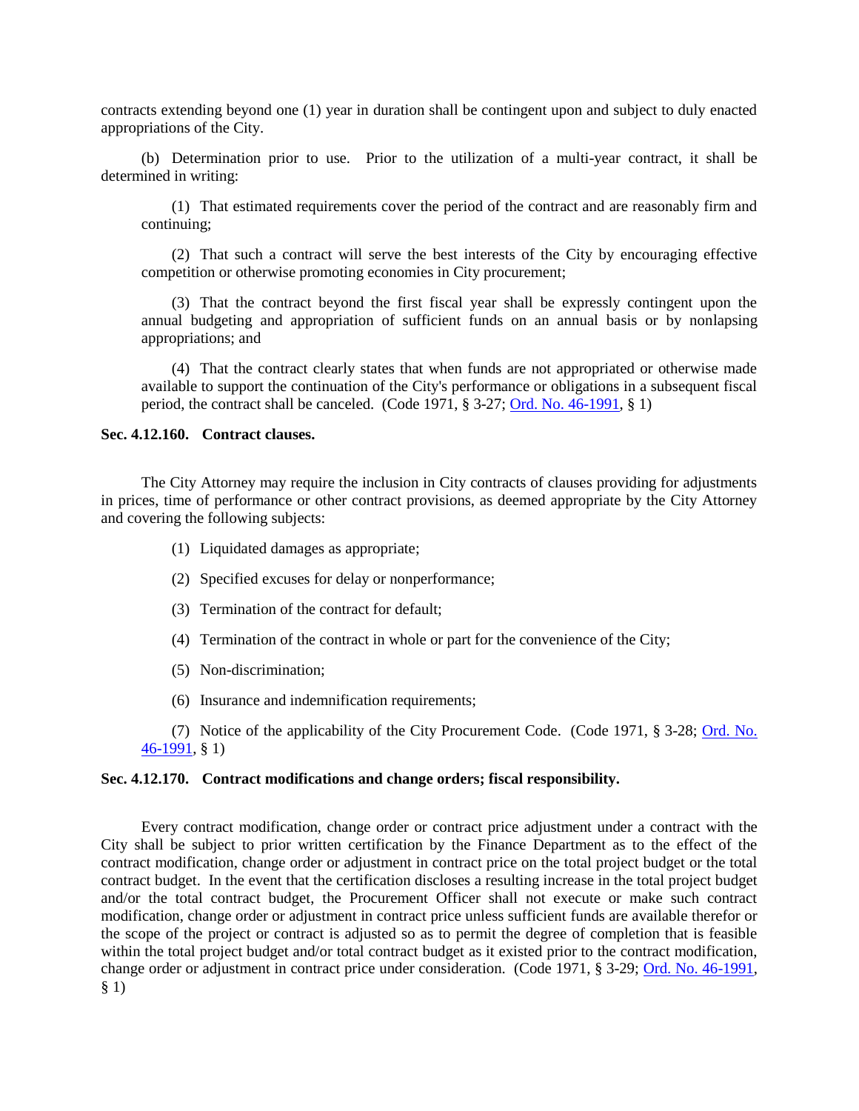contracts extending beyond one (1) year in duration shall be contingent upon and subject to duly enacted appropriations of the City.

(b) Determination prior to use. Prior to the utilization of a multi-year contract, it shall be determined in writing:

(1) That estimated requirements cover the period of the contract and are reasonably firm and continuing;

(2) That such a contract will serve the best interests of the City by encouraging effective competition or otherwise promoting economies in City procurement;

(3) That the contract beyond the first fiscal year shall be expressly contingent upon the annual budgeting and appropriation of sufficient funds on an annual basis or by nonlapsing appropriations; and

(4) That the contract clearly states that when funds are not appropriated or otherwise made available to support the continuation of the City's performance or obligations in a subsequent fiscal period, the contract shall be canceled. (Code 1971, § 3-27; [Ord. No. 46-1991,](http://205.170.51.183/WebLink8/0/doc/3338/Page1.aspx) § 1)

### <span id="page-16-0"></span>**Sec. 4.12.160. Contract clauses.**

The City Attorney may require the inclusion in City contracts of clauses providing for adjustments in prices, time of performance or other contract provisions, as deemed appropriate by the City Attorney and covering the following subjects:

- (1) Liquidated damages as appropriate;
- (2) Specified excuses for delay or nonperformance;
- (3) Termination of the contract for default;
- (4) Termination of the contract in whole or part for the convenience of the City;
- (5) Non-discrimination;
- (6) Insurance and indemnification requirements;

(7) Notice of the applicability of the City Procurement Code. (Code 1971, § 3-28; [Ord. No.](http://205.170.51.183/WebLink8/0/doc/3338/Page1.aspx)  [46-1991,](http://205.170.51.183/WebLink8/0/doc/3338/Page1.aspx) § 1)

# <span id="page-16-1"></span>**Sec. 4.12.170. Contract modifications and change orders; fiscal responsibility.**

Every contract modification, change order or contract price adjustment under a contract with the City shall be subject to prior written certification by the Finance Department as to the effect of the contract modification, change order or adjustment in contract price on the total project budget or the total contract budget. In the event that the certification discloses a resulting increase in the total project budget and/or the total contract budget, the Procurement Officer shall not execute or make such contract modification, change order or adjustment in contract price unless sufficient funds are available therefor or the scope of the project or contract is adjusted so as to permit the degree of completion that is feasible within the total project budget and/or total contract budget as it existed prior to the contract modification, change order or adjustment in contract price under consideration. (Code 1971, § 3-29; [Ord. No. 46-1991,](http://205.170.51.183/WebLink8/0/doc/3338/Page1.aspx) § 1)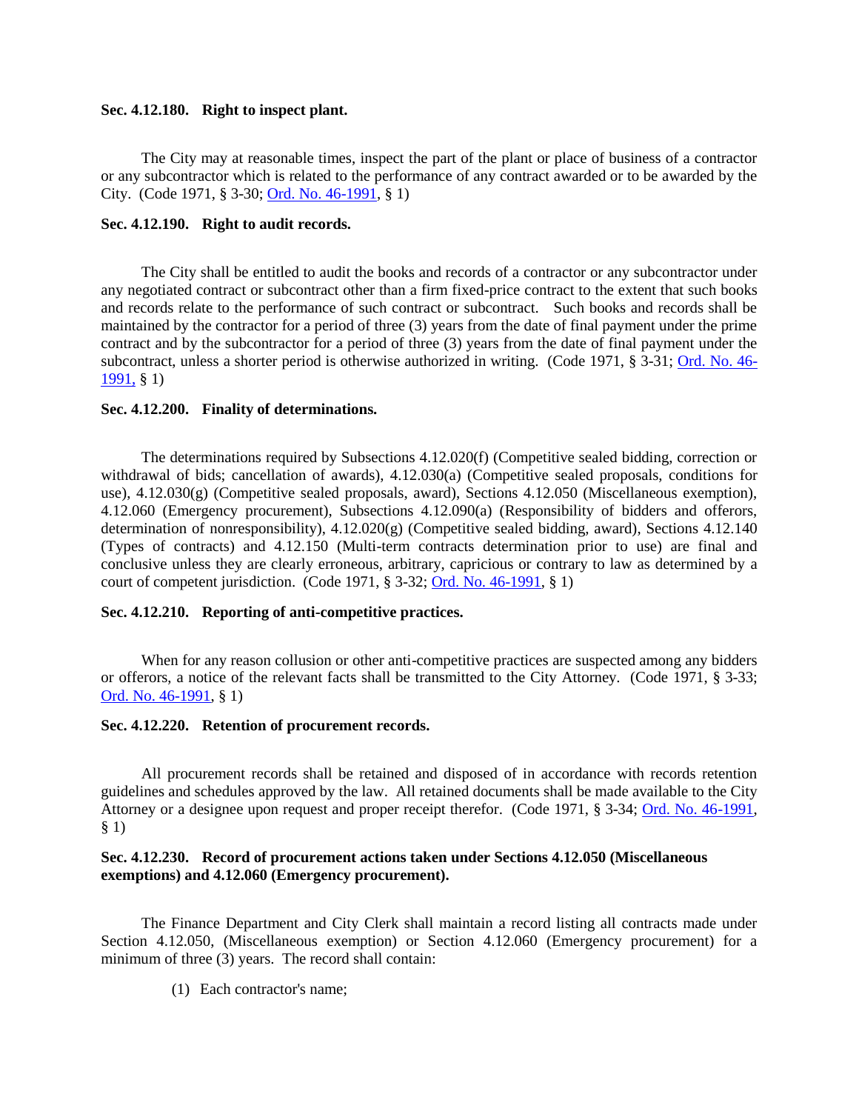# <span id="page-17-0"></span>**Sec. 4.12.180. Right to inspect plant.**

The City may at reasonable times, inspect the part of the plant or place of business of a contractor or any subcontractor which is related to the performance of any contract awarded or to be awarded by the City. (Code 1971, § 3-30; [Ord. No. 46-1991,](http://205.170.51.183/WebLink8/0/doc/3338/Page1.aspx) § 1)

### <span id="page-17-1"></span>**Sec. 4.12.190. Right to audit records.**

The City shall be entitled to audit the books and records of a contractor or any subcontractor under any negotiated contract or subcontract other than a firm fixed-price contract to the extent that such books and records relate to the performance of such contract or subcontract. Such books and records shall be maintained by the contractor for a period of three (3) years from the date of final payment under the prime contract and by the subcontractor for a period of three (3) years from the date of final payment under the subcontract, unless a shorter period is otherwise authorized in writing. (Code 1971, § 3-31; [Ord. No. 46-](http://205.170.51.183/WebLink8/0/doc/3338/Page1.aspx) [1991,](http://205.170.51.183/WebLink8/0/doc/3338/Page1.aspx) § 1)

### <span id="page-17-2"></span>**Sec. 4.12.200. Finality of determinations.**

The determinations required by Subsections 4.12.020(f) (Competitive sealed bidding, correction or withdrawal of bids; cancellation of awards), 4.12.030(a) (Competitive sealed proposals, conditions for use),  $4.12.030(g)$  (Competitive sealed proposals, award), Sections  $4.12.050$  (Miscellaneous exemption), 4.12.060 (Emergency procurement), Subsections 4.12.090(a) (Responsibility of bidders and offerors, determination of nonresponsibility), 4.12.020(g) (Competitive sealed bidding, award), Sections 4.12.140 (Types of contracts) and 4.12.150 (Multi-term contracts determination prior to use) are final and conclusive unless they are clearly erroneous, arbitrary, capricious or contrary to law as determined by a court of competent jurisdiction. (Code 1971, § 3-32; [Ord. No. 46-1991,](http://205.170.51.183/WebLink8/0/doc/3338/Page1.aspx) § 1)

### <span id="page-17-3"></span>**Sec. 4.12.210. Reporting of anti-competitive practices.**

When for any reason collusion or other anti-competitive practices are suspected among any bidders or offerors, a notice of the relevant facts shall be transmitted to the City Attorney. (Code 1971, § 3-33; [Ord. No. 46-1991,](http://205.170.51.183/WebLink8/0/doc/3338/Page1.aspx) § 1)

### <span id="page-17-4"></span>**Sec. 4.12.220. Retention of procurement records.**

All procurement records shall be retained and disposed of in accordance with records retention guidelines and schedules approved by the law. All retained documents shall be made available to the City Attorney or a designee upon request and proper receipt therefor. (Code 1971, § 3-34; [Ord. No. 46-1991,](http://205.170.51.183/WebLink8/0/doc/3338/Page1.aspx) § 1)

# <span id="page-17-5"></span>**Sec. 4.12.230. Record of procurement actions taken under Sections 4.12.050 (Miscellaneous exemptions) and 4.12.060 (Emergency procurement).**

The Finance Department and City Clerk shall maintain a record listing all contracts made under Section 4.12.050, (Miscellaneous exemption) or Section 4.12.060 (Emergency procurement) for a minimum of three (3) years. The record shall contain:

(1) Each contractor's name;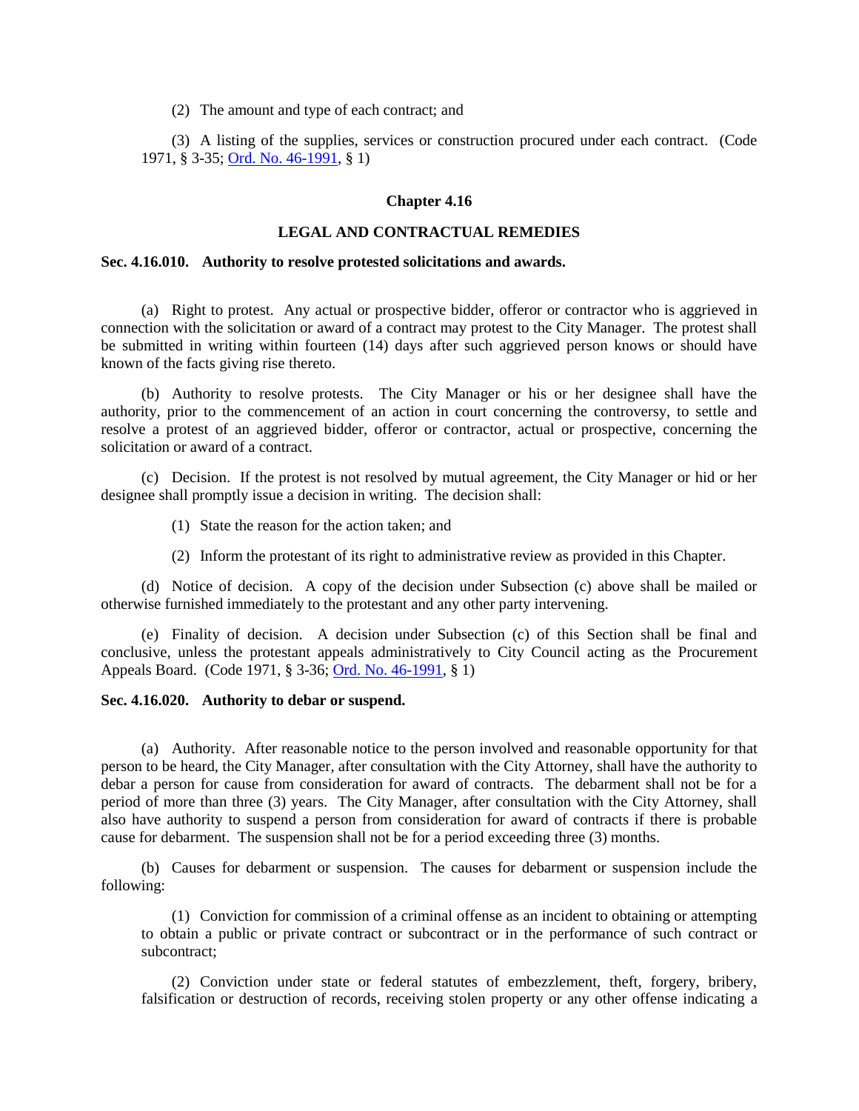(2) The amount and type of each contract; and

(3) A listing of the supplies, services or construction procured under each contract. (Code 1971, § 3-35; [Ord. No. 46-1991,](http://205.170.51.183/WebLink8/0/doc/3338/Page1.aspx) § 1)

### **Chapter 4.16**

# **LEGAL AND CONTRACTUAL REMEDIES**

#### <span id="page-18-0"></span>**Sec. 4.16.010. Authority to resolve protested solicitations and awards.**

(a) Right to protest. Any actual or prospective bidder, offeror or contractor who is aggrieved in connection with the solicitation or award of a contract may protest to the City Manager. The protest shall be submitted in writing within fourteen (14) days after such aggrieved person knows or should have known of the facts giving rise thereto.

(b) Authority to resolve protests. The City Manager or his or her designee shall have the authority, prior to the commencement of an action in court concerning the controversy, to settle and resolve a protest of an aggrieved bidder, offeror or contractor, actual or prospective, concerning the solicitation or award of a contract.

(c) Decision. If the protest is not resolved by mutual agreement, the City Manager or hid or her designee shall promptly issue a decision in writing. The decision shall:

(1) State the reason for the action taken; and

(2) Inform the protestant of its right to administrative review as provided in this Chapter.

(d) Notice of decision. A copy of the decision under Subsection (c) above shall be mailed or otherwise furnished immediately to the protestant and any other party intervening.

(e) Finality of decision. A decision under Subsection (c) of this Section shall be final and conclusive, unless the protestant appeals administratively to City Council acting as the Procurement Appeals Board. (Code 1971, § 3-36; [Ord. No. 46-1991,](http://205.170.51.183/WebLink8/0/doc/3338/Page1.aspx) § 1)

### <span id="page-18-1"></span>**Sec. 4.16.020. Authority to debar or suspend.**

(a) Authority. After reasonable notice to the person involved and reasonable opportunity for that person to be heard, the City Manager, after consultation with the City Attorney, shall have the authority to debar a person for cause from consideration for award of contracts. The debarment shall not be for a period of more than three (3) years. The City Manager, after consultation with the City Attorney, shall also have authority to suspend a person from consideration for award of contracts if there is probable cause for debarment. The suspension shall not be for a period exceeding three (3) months.

(b) Causes for debarment or suspension. The causes for debarment or suspension include the following:

(1) Conviction for commission of a criminal offense as an incident to obtaining or attempting to obtain a public or private contract or subcontract or in the performance of such contract or subcontract;

(2) Conviction under state or federal statutes of embezzlement, theft, forgery, bribery, falsification or destruction of records, receiving stolen property or any other offense indicating a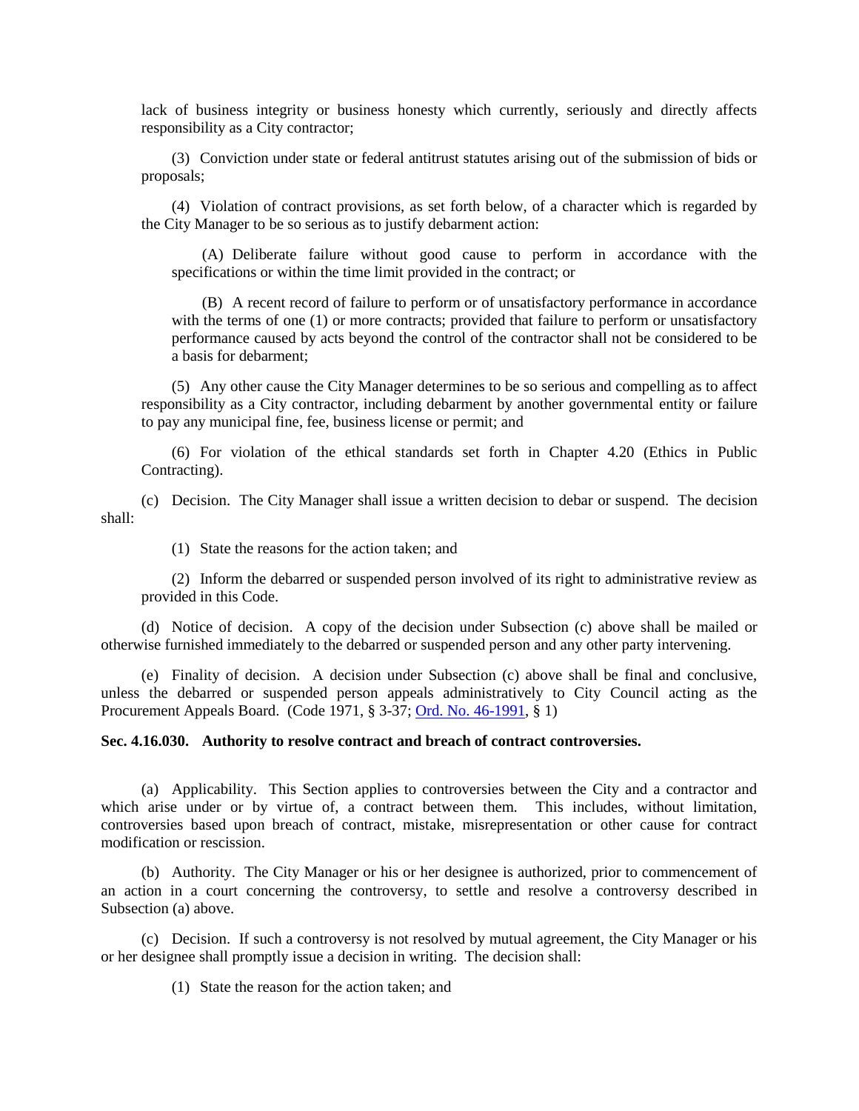lack of business integrity or business honesty which currently, seriously and directly affects responsibility as a City contractor;

(3) Conviction under state or federal antitrust statutes arising out of the submission of bids or proposals;

(4) Violation of contract provisions, as set forth below, of a character which is regarded by the City Manager to be so serious as to justify debarment action:

(A) Deliberate failure without good cause to perform in accordance with the specifications or within the time limit provided in the contract; or

(B) A recent record of failure to perform or of unsatisfactory performance in accordance with the terms of one (1) or more contracts; provided that failure to perform or unsatisfactory performance caused by acts beyond the control of the contractor shall not be considered to be a basis for debarment;

(5) Any other cause the City Manager determines to be so serious and compelling as to affect responsibility as a City contractor, including debarment by another governmental entity or failure to pay any municipal fine, fee, business license or permit; and

(6) For violation of the ethical standards set forth in Chapter 4.20 (Ethics in Public Contracting).

(c) Decision. The City Manager shall issue a written decision to debar or suspend. The decision shall:

(1) State the reasons for the action taken; and

(2) Inform the debarred or suspended person involved of its right to administrative review as provided in this Code.

(d) Notice of decision. A copy of the decision under Subsection (c) above shall be mailed or otherwise furnished immediately to the debarred or suspended person and any other party intervening.

(e) Finality of decision. A decision under Subsection (c) above shall be final and conclusive, unless the debarred or suspended person appeals administratively to City Council acting as the Procurement Appeals Board. (Code 1971, § 3-37; [Ord. No. 46-1991,](http://205.170.51.183/WebLink8/0/doc/3338/Page1.aspx) § 1)

### <span id="page-19-0"></span>**Sec. 4.16.030. Authority to resolve contract and breach of contract controversies.**

(a) Applicability. This Section applies to controversies between the City and a contractor and which arise under or by virtue of, a contract between them. This includes, without limitation, controversies based upon breach of contract, mistake, misrepresentation or other cause for contract modification or rescission.

(b) Authority. The City Manager or his or her designee is authorized, prior to commencement of an action in a court concerning the controversy, to settle and resolve a controversy described in Subsection (a) above.

(c) Decision. If such a controversy is not resolved by mutual agreement, the City Manager or his or her designee shall promptly issue a decision in writing. The decision shall:

(1) State the reason for the action taken; and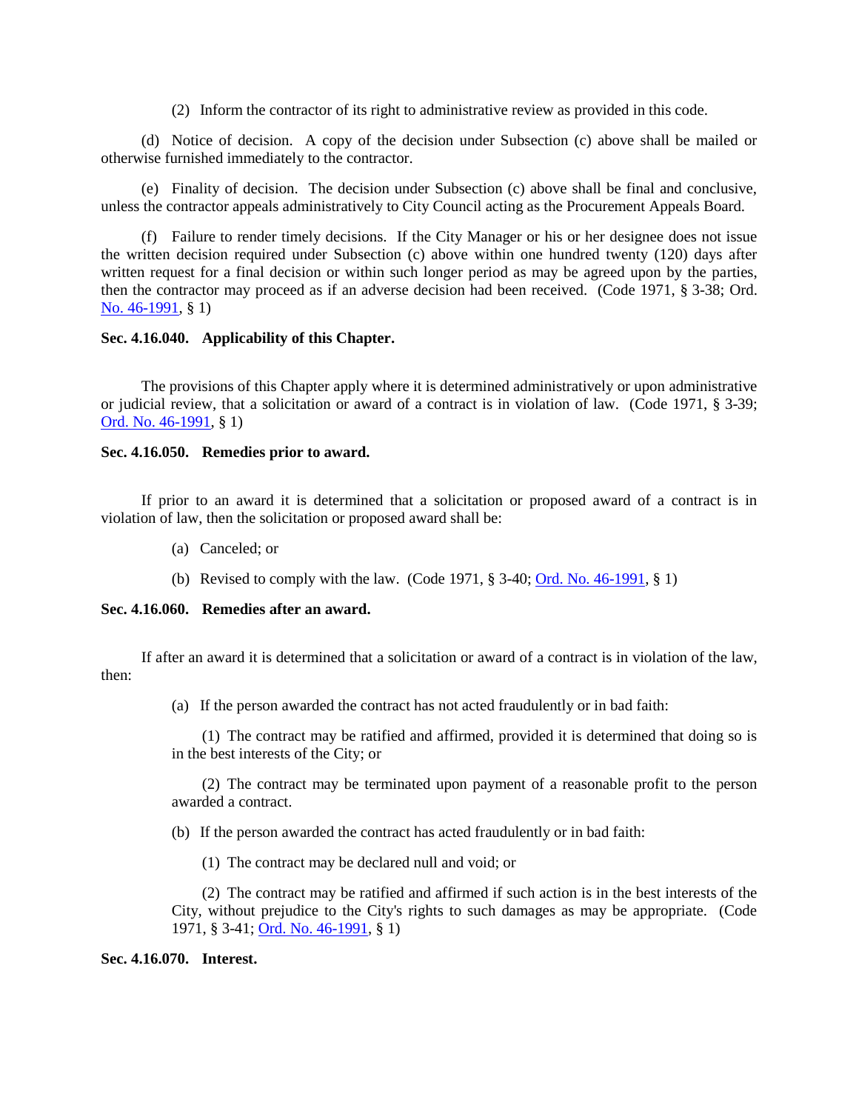(2) Inform the contractor of its right to administrative review as provided in this code.

(d) Notice of decision. A copy of the decision under Subsection (c) above shall be mailed or otherwise furnished immediately to the contractor.

(e) Finality of decision. The decision under Subsection (c) above shall be final and conclusive, unless the contractor appeals administratively to City Council acting as the Procurement Appeals Board.

(f) Failure to render timely decisions. If the City Manager or his or her designee does not issue the written decision required under Subsection (c) above within one hundred twenty (120) days after written request for a final decision or within such longer period as may be agreed upon by the parties, then the contractor may proceed as if an adverse decision had been received. (Code 1971, § 3-38; Ord. [No. 46-1991,](http://205.170.51.183/WebLink8/0/doc/3338/Page1.aspx) § 1)

### <span id="page-20-0"></span>**Sec. 4.16.040. Applicability of this Chapter.**

The provisions of this Chapter apply where it is determined administratively or upon administrative or judicial review, that a solicitation or award of a contract is in violation of law. (Code 1971, § 3-39; [Ord. No. 46-1991,](http://205.170.51.183/WebLink8/0/doc/3338/Page1.aspx) § 1)

### <span id="page-20-1"></span>**Sec. 4.16.050. Remedies prior to award.**

If prior to an award it is determined that a solicitation or proposed award of a contract is in violation of law, then the solicitation or proposed award shall be:

- (a) Canceled; or
- (b) Revised to comply with the law. (Code 1971, § 3-40; [Ord. No. 46-1991,](http://205.170.51.183/WebLink8/0/doc/3338/Page1.aspx) § 1)

# <span id="page-20-2"></span>**Sec. 4.16.060. Remedies after an award.**

If after an award it is determined that a solicitation or award of a contract is in violation of the law, then:

(a) If the person awarded the contract has not acted fraudulently or in bad faith:

(1) The contract may be ratified and affirmed, provided it is determined that doing so is in the best interests of the City; or

(2) The contract may be terminated upon payment of a reasonable profit to the person awarded a contract.

(b) If the person awarded the contract has acted fraudulently or in bad faith:

(1) The contract may be declared null and void; or

(2) The contract may be ratified and affirmed if such action is in the best interests of the City, without prejudice to the City's rights to such damages as may be appropriate. (Code 1971, § 3-41; [Ord. No.](http://205.170.51.183/WebLink8/0/doc/3338/Page1.aspx) 46-1991, § 1)

### <span id="page-20-3"></span>**Sec. 4.16.070. Interest.**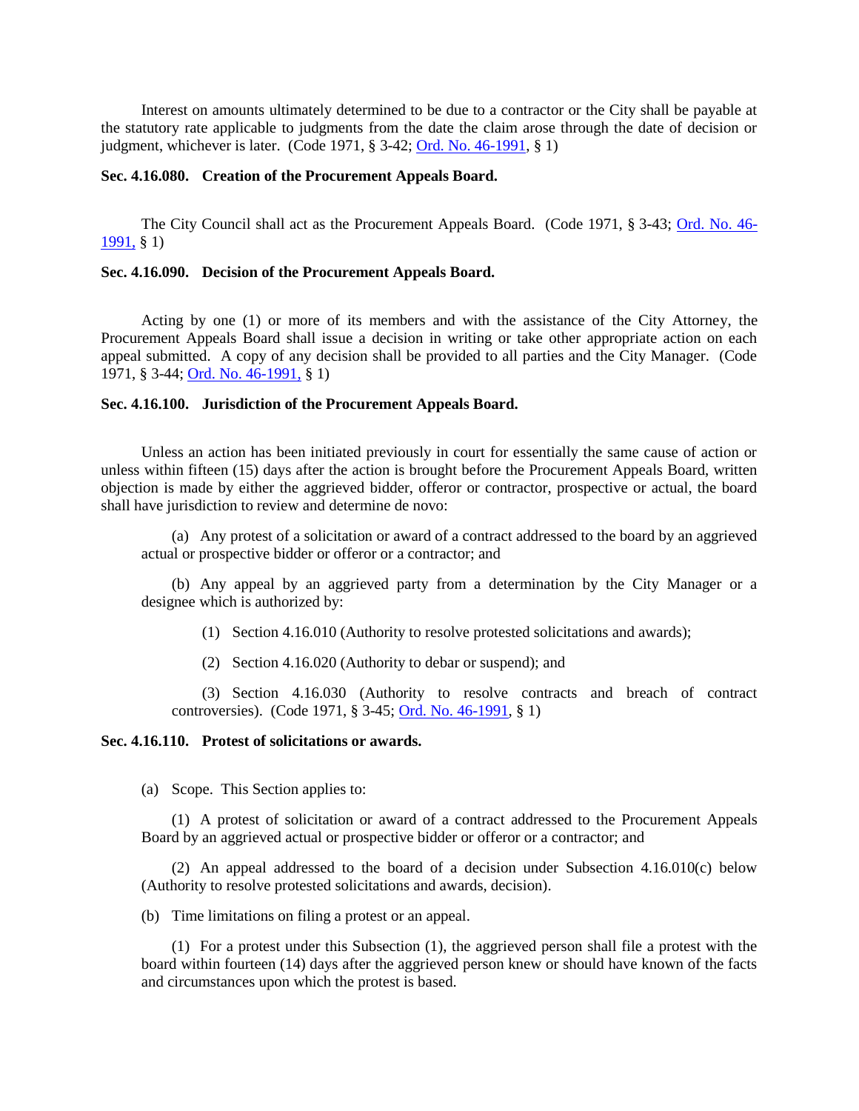Interest on amounts ultimately determined to be due to a contractor or the City shall be payable at the statutory rate applicable to judgments from the date the claim arose through the date of decision or judgment, whichever is later. (Code 1971, § 3-42; [Ord. No. 46-1991,](http://205.170.51.183/WebLink8/0/doc/3338/Page1.aspx) § 1)

#### <span id="page-21-0"></span>**Sec. 4.16.080. Creation of the Procurement Appeals Board.**

The City Council shall act as the Procurement Appeals Board. (Code 1971, § 3-43; [Ord. No. 46-](http://205.170.51.183/WebLink8/0/doc/3338/Page1.aspx) [1991,](http://205.170.51.183/WebLink8/0/doc/3338/Page1.aspx) § 1)

### <span id="page-21-1"></span>**Sec. 4.16.090. Decision of the Procurement Appeals Board.**

Acting by one (1) or more of its members and with the assistance of the City Attorney, the Procurement Appeals Board shall issue a decision in writing or take other appropriate action on each appeal submitted. A copy of any decision shall be provided to all parties and the City Manager. (Code 1971, § 3-44[; Ord. No. 46-1991,](http://205.170.51.183/WebLink8/0/doc/3338/Page1.aspx) § 1)

### <span id="page-21-2"></span>**Sec. 4.16.100. Jurisdiction of the Procurement Appeals Board.**

Unless an action has been initiated previously in court for essentially the same cause of action or unless within fifteen (15) days after the action is brought before the Procurement Appeals Board, written objection is made by either the aggrieved bidder, offeror or contractor, prospective or actual, the board shall have jurisdiction to review and determine de novo:

(a) Any protest of a solicitation or award of a contract addressed to the board by an aggrieved actual or prospective bidder or offeror or a contractor; and

(b) Any appeal by an aggrieved party from a determination by the City Manager or a designee which is authorized by:

- (1) Section 4.16.010 (Authority to resolve protested solicitations and awards);
- (2) Section 4.16.020 (Authority to debar or suspend); and

(3) Section 4.16.030 (Authority to resolve contracts and breach of contract controversies). (Code 1971, § 3-45; [Ord. No. 46-1991,](http://205.170.51.183/WebLink8/0/doc/3338/Page1.aspx) § 1)

# <span id="page-21-3"></span>**Sec. 4.16.110. Protest of solicitations or awards.**

(a) Scope. This Section applies to:

(1) A protest of solicitation or award of a contract addressed to the Procurement Appeals Board by an aggrieved actual or prospective bidder or offeror or a contractor; and

(2) An appeal addressed to the board of a decision under Subsection 4.16.010(c) below (Authority to resolve protested solicitations and awards, decision).

(b) Time limitations on filing a protest or an appeal.

(1) For a protest under this Subsection (1), the aggrieved person shall file a protest with the board within fourteen (14) days after the aggrieved person knew or should have known of the facts and circumstances upon which the protest is based.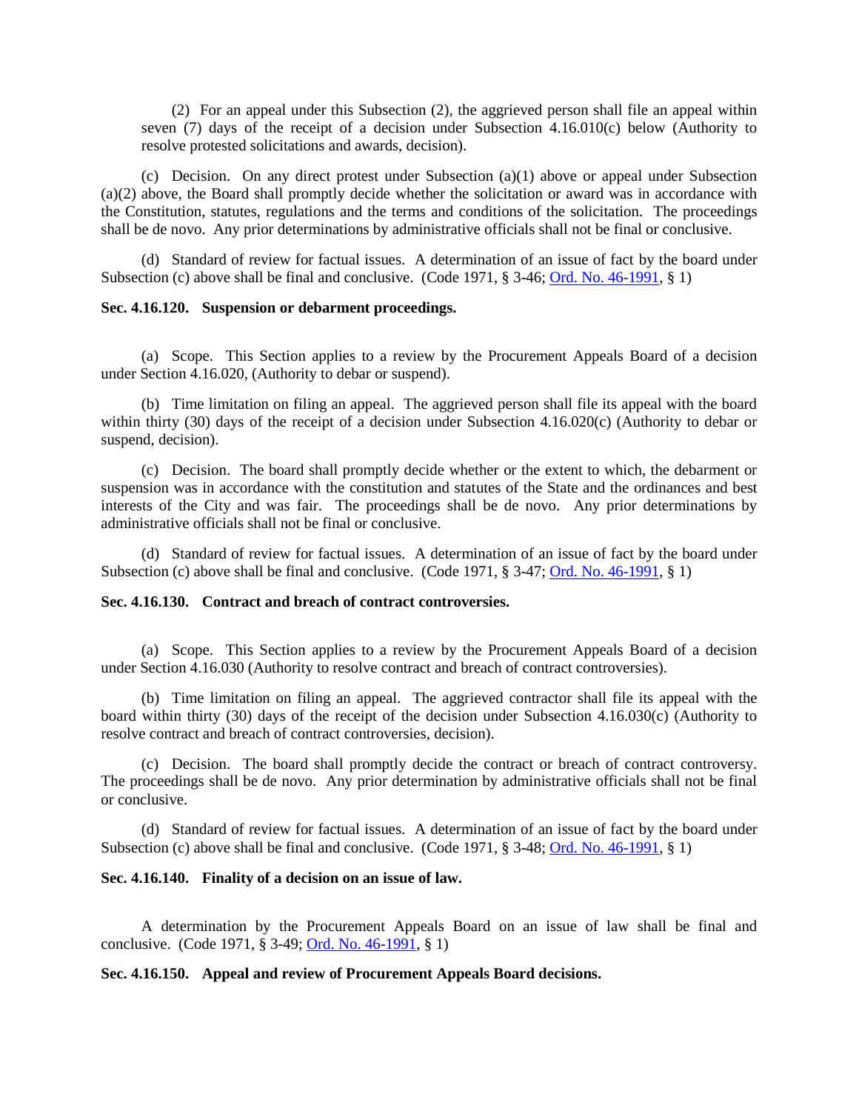(2) For an appeal under this Subsection (2), the aggrieved person shall file an appeal within seven (7) days of the receipt of a decision under Subsection 4.16.010(c) below (Authority to resolve protested solicitations and awards, decision).

(c) Decision. On any direct protest under Subsection (a)(1) above or appeal under Subsection (a)(2) above, the Board shall promptly decide whether the solicitation or award was in accordance with the Constitution, statutes, regulations and the terms and conditions of the solicitation. The proceedings shall be de novo. Any prior determinations by administrative officials shall not be final or conclusive.

(d) Standard of review for factual issues. A determination of an issue of fact by the board under Subsection (c) above shall be final and conclusive. (Code 1971, § 3-46; [Ord. No. 46-1991,](http://205.170.51.183/WebLink8/0/doc/3338/Page1.aspx) § 1)

### <span id="page-22-0"></span>**Sec. 4.16.120. Suspension or debarment proceedings.**

(a) Scope. This Section applies to a review by the Procurement Appeals Board of a decision under Section 4.16.020, (Authority to debar or suspend).

(b) Time limitation on filing an appeal. The aggrieved person shall file its appeal with the board within thirty (30) days of the receipt of a decision under Subsection 4.16.020(c) (Authority to debar or suspend, decision).

(c) Decision. The board shall promptly decide whether or the extent to which, the debarment or suspension was in accordance with the constitution and statutes of the State and the ordinances and best interests of the City and was fair. The proceedings shall be de novo. Any prior determinations by administrative officials shall not be final or conclusive.

(d) Standard of review for factual issues. A determination of an issue of fact by the board under Subsection (c) above shall be final and conclusive. (Code 1971, § 3-47; [Ord. No. 46-1991,](http://205.170.51.183/WebLink8/0/doc/3338/Page1.aspx) § 1)

# <span id="page-22-1"></span>**Sec. 4.16.130. Contract and breach of contract controversies.**

(a) Scope. This Section applies to a review by the Procurement Appeals Board of a decision under Section 4.16.030 (Authority to resolve contract and breach of contract controversies).

(b) Time limitation on filing an appeal. The aggrieved contractor shall file its appeal with the board within thirty (30) days of the receipt of the decision under Subsection 4.16.030(c) (Authority to resolve contract and breach of contract controversies, decision).

(c) Decision. The board shall promptly decide the contract or breach of contract controversy. The proceedings shall be de novo. Any prior determination by administrative officials shall not be final or conclusive.

(d) Standard of review for factual issues. A determination of an issue of fact by the board under Subsection (c) above shall be final and conclusive. (Code 1971,  $\S$  3-48; [Ord. No. 46-1991,](http://205.170.51.183/WebLink8/0/doc/3338/Page1.aspx)  $\S$  1)

### <span id="page-22-2"></span>**Sec. 4.16.140. Finality of a decision on an issue of law.**

A determination by the Procurement Appeals Board on an issue of law shall be final and conclusive. (Code 1971, § 3-49; [Ord. No. 46-1991,](http://205.170.51.183/WebLink8/0/doc/3338/Page1.aspx) § 1)

#### <span id="page-22-3"></span>**Sec. 4.16.150. Appeal and review of Procurement Appeals Board decisions.**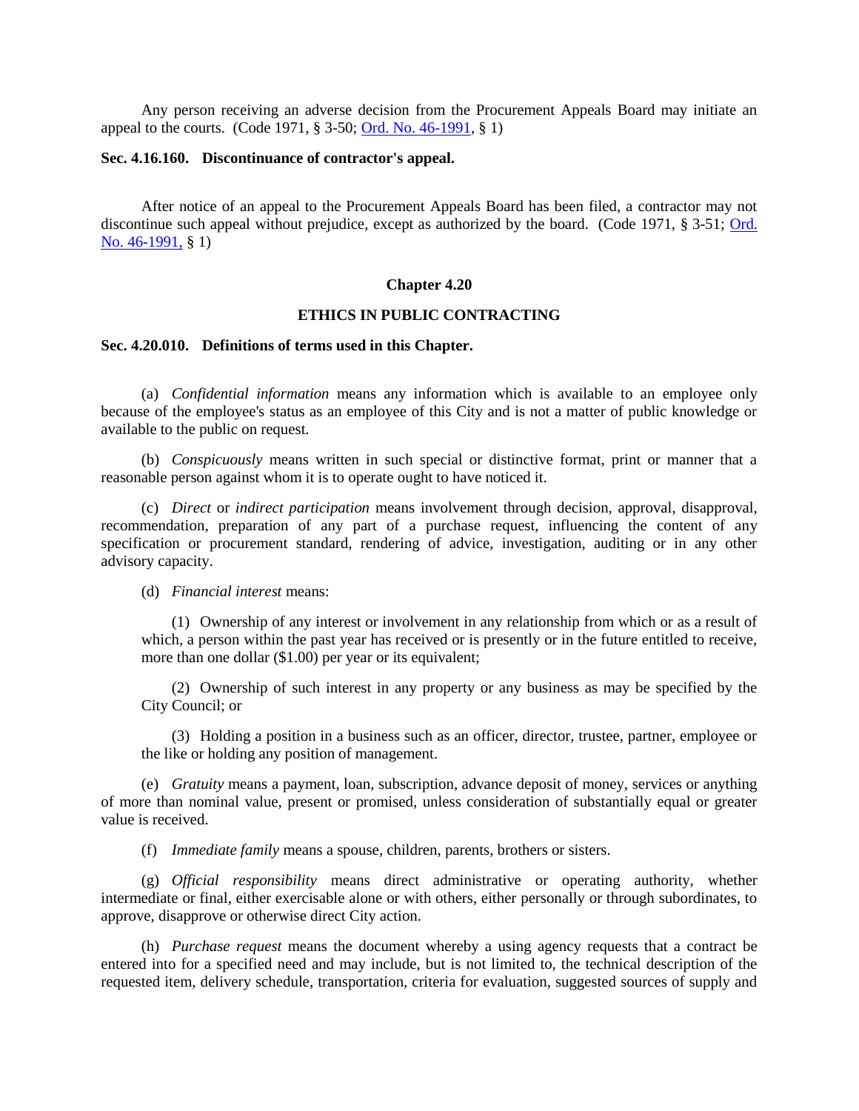Any person receiving an adverse decision from the Procurement Appeals Board may initiate an appeal to the courts. (Code 1971, § 3-50; [Ord. No. 46-1991,](http://205.170.51.183/WebLink8/0/doc/3338/Page1.aspx) § 1)

### <span id="page-23-0"></span>**Sec. 4.16.160. Discontinuance of contractor's appeal.**

After notice of an appeal to the Procurement Appeals Board has been filed, a contractor may not discontinue such appeal without prejudice, except as authorized by the board. (Code 1971, § 3-51; [Ord.](http://205.170.51.183/WebLink8/0/doc/3338/Page1.aspx)  [No. 46-1991,](http://205.170.51.183/WebLink8/0/doc/3338/Page1.aspx) § 1)

# **Chapter 4.20**

### **ETHICS IN PUBLIC CONTRACTING**

#### <span id="page-23-1"></span>**Sec. 4.20.010. Definitions of terms used in this Chapter.**

(a) *Confidential information* means any information which is available to an employee only because of the employee's status as an employee of this City and is not a matter of public knowledge or available to the public on request.

(b) *Conspicuously* means written in such special or distinctive format, print or manner that a reasonable person against whom it is to operate ought to have noticed it.

(c) *Direct* or *indirect participation* means involvement through decision, approval, disapproval, recommendation, preparation of any part of a purchase request, influencing the content of any specification or procurement standard, rendering of advice, investigation, auditing or in any other advisory capacity.

#### (d) *Financial interest* means:

(1) Ownership of any interest or involvement in any relationship from which or as a result of which, a person within the past year has received or is presently or in the future entitled to receive, more than one dollar (\$1.00) per year or its equivalent;

(2) Ownership of such interest in any property or any business as may be specified by the City Council; or

(3) Holding a position in a business such as an officer, director, trustee, partner, employee or the like or holding any position of management.

(e) *Gratuity* means a payment, loan, subscription, advance deposit of money, services or anything of more than nominal value, present or promised, unless consideration of substantially equal or greater value is received.

(f) *Immediate family* means a spouse, children, parents, brothers or sisters.

(g) *Official responsibility* means direct administrative or operating authority, whether intermediate or final, either exercisable alone or with others, either personally or through subordinates, to approve, disapprove or otherwise direct City action.

(h) *Purchase request* means the document whereby a using agency requests that a contract be entered into for a specified need and may include, but is not limited to, the technical description of the requested item, delivery schedule, transportation, criteria for evaluation, suggested sources of supply and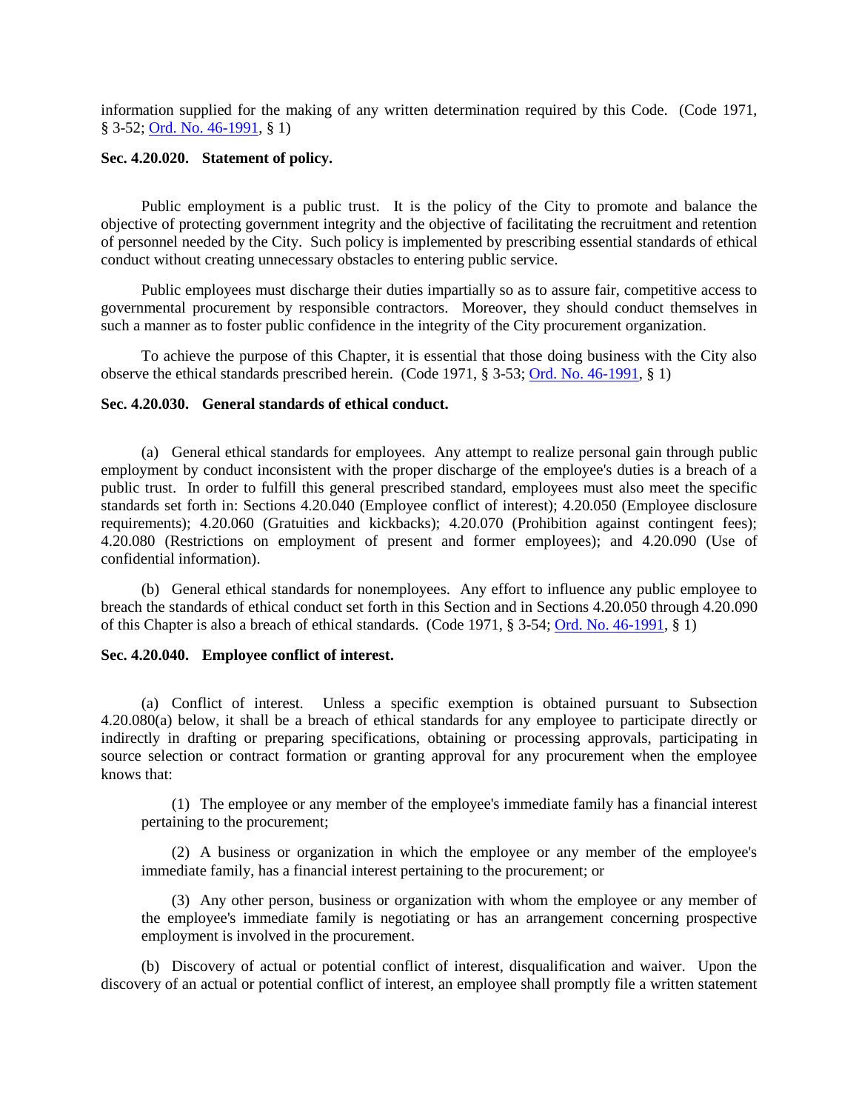information supplied for the making of any written determination required by this Code. (Code 1971, § 3-52; [Ord. No. 46-1991,](http://205.170.51.183/WebLink8/0/doc/3338/Page1.aspx) § 1)

# <span id="page-24-0"></span>**Sec. 4.20.020. Statement of policy.**

Public employment is a public trust. It is the policy of the City to promote and balance the objective of protecting government integrity and the objective of facilitating the recruitment and retention of personnel needed by the City. Such policy is implemented by prescribing essential standards of ethical conduct without creating unnecessary obstacles to entering public service.

Public employees must discharge their duties impartially so as to assure fair, competitive access to governmental procurement by responsible contractors. Moreover, they should conduct themselves in such a manner as to foster public confidence in the integrity of the City procurement organization.

To achieve the purpose of this Chapter, it is essential that those doing business with the City also observe the ethical standards prescribed herein. (Code 1971, § 3-53; [Ord. No. 46-1991,](http://205.170.51.183/WebLink8/0/doc/3338/Page1.aspx) § 1)

### <span id="page-24-1"></span>**Sec. 4.20.030. General standards of ethical conduct.**

(a) General ethical standards for employees. Any attempt to realize personal gain through public employment by conduct inconsistent with the proper discharge of the employee's duties is a breach of a public trust. In order to fulfill this general prescribed standard, employees must also meet the specific standards set forth in: Sections 4.20.040 (Employee conflict of interest); 4.20.050 (Employee disclosure requirements); 4.20.060 (Gratuities and kickbacks); 4.20.070 (Prohibition against contingent fees); 4.20.080 (Restrictions on employment of present and former employees); and 4.20.090 (Use of confidential information).

(b) General ethical standards for nonemployees. Any effort to influence any public employee to breach the standards of ethical conduct set forth in this Section and in Sections 4.20.050 through 4.20.090 of this Chapter is also a breach of ethical standards. (Code 1971, § 3-54; [Ord. No. 46-1991,](http://205.170.51.183/WebLink8/0/doc/3338/Page1.aspx) § 1)

### <span id="page-24-2"></span>**Sec. 4.20.040. Employee conflict of interest.**

(a) Conflict of interest. Unless a specific exemption is obtained pursuant to Subsection 4.20.080(a) below, it shall be a breach of ethical standards for any employee to participate directly or indirectly in drafting or preparing specifications, obtaining or processing approvals, participating in source selection or contract formation or granting approval for any procurement when the employee knows that:

(1) The employee or any member of the employee's immediate family has a financial interest pertaining to the procurement;

(2) A business or organization in which the employee or any member of the employee's immediate family, has a financial interest pertaining to the procurement; or

(3) Any other person, business or organization with whom the employee or any member of the employee's immediate family is negotiating or has an arrangement concerning prospective employment is involved in the procurement.

(b) Discovery of actual or potential conflict of interest, disqualification and waiver. Upon the discovery of an actual or potential conflict of interest, an employee shall promptly file a written statement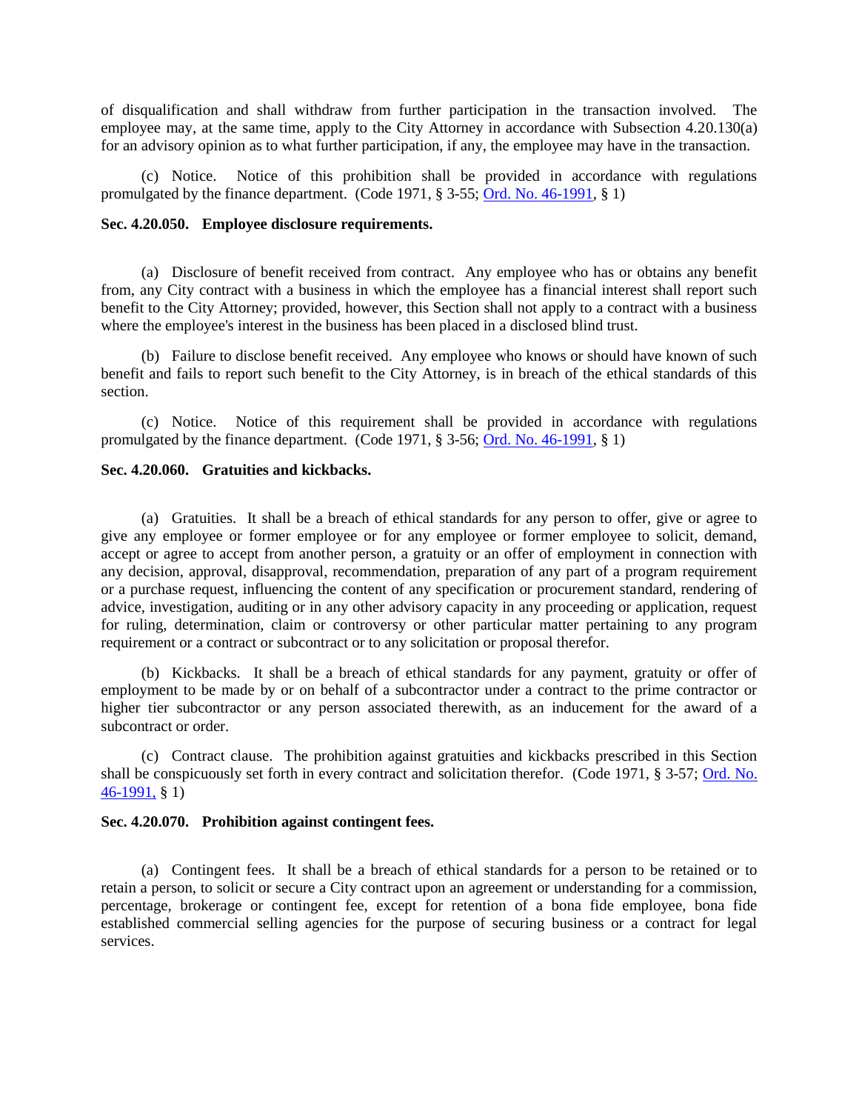of disqualification and shall withdraw from further participation in the transaction involved. The employee may, at the same time, apply to the City Attorney in accordance with Subsection 4.20.130(a) for an advisory opinion as to what further participation, if any, the employee may have in the transaction.

(c) Notice. Notice of this prohibition shall be provided in accordance with regulations promulgated by the finance department. (Code 1971, § 3-55; [Ord. No. 46-1991,](http://205.170.51.183/WebLink8/0/doc/3338/Page1.aspx) § 1)

# <span id="page-25-0"></span>**Sec. 4.20.050. Employee disclosure requirements.**

(a) Disclosure of benefit received from contract. Any employee who has or obtains any benefit from, any City contract with a business in which the employee has a financial interest shall report such benefit to the City Attorney; provided, however, this Section shall not apply to a contract with a business where the employee's interest in the business has been placed in a disclosed blind trust.

(b) Failure to disclose benefit received. Any employee who knows or should have known of such benefit and fails to report such benefit to the City Attorney, is in breach of the ethical standards of this section.

(c) Notice. Notice of this requirement shall be provided in accordance with regulations promulgated by the finance department. (Code 1971, § 3-56; [Ord. No. 46-1991,](http://205.170.51.183/WebLink8/0/doc/3338/Page1.aspx) § 1)

# <span id="page-25-1"></span>**Sec. 4.20.060. Gratuities and kickbacks.**

(a) Gratuities. It shall be a breach of ethical standards for any person to offer, give or agree to give any employee or former employee or for any employee or former employee to solicit, demand, accept or agree to accept from another person, a gratuity or an offer of employment in connection with any decision, approval, disapproval, recommendation, preparation of any part of a program requirement or a purchase request, influencing the content of any specification or procurement standard, rendering of advice, investigation, auditing or in any other advisory capacity in any proceeding or application, request for ruling, determination, claim or controversy or other particular matter pertaining to any program requirement or a contract or subcontract or to any solicitation or proposal therefor.

(b) Kickbacks. It shall be a breach of ethical standards for any payment, gratuity or offer of employment to be made by or on behalf of a subcontractor under a contract to the prime contractor or higher tier subcontractor or any person associated therewith, as an inducement for the award of a subcontract or order.

(c) Contract clause. The prohibition against gratuities and kickbacks prescribed in this Section shall be conspicuously set forth in every contract and solicitation therefor. (Code 1971, § 3-57; [Ord. No.](http://205.170.51.183/WebLink8/0/doc/3338/Page1.aspx)  [46-1991,](http://205.170.51.183/WebLink8/0/doc/3338/Page1.aspx) § 1)

### <span id="page-25-2"></span>**Sec. 4.20.070. Prohibition against contingent fees.**

(a) Contingent fees. It shall be a breach of ethical standards for a person to be retained or to retain a person, to solicit or secure a City contract upon an agreement or understanding for a commission, percentage, brokerage or contingent fee, except for retention of a bona fide employee, bona fide established commercial selling agencies for the purpose of securing business or a contract for legal services.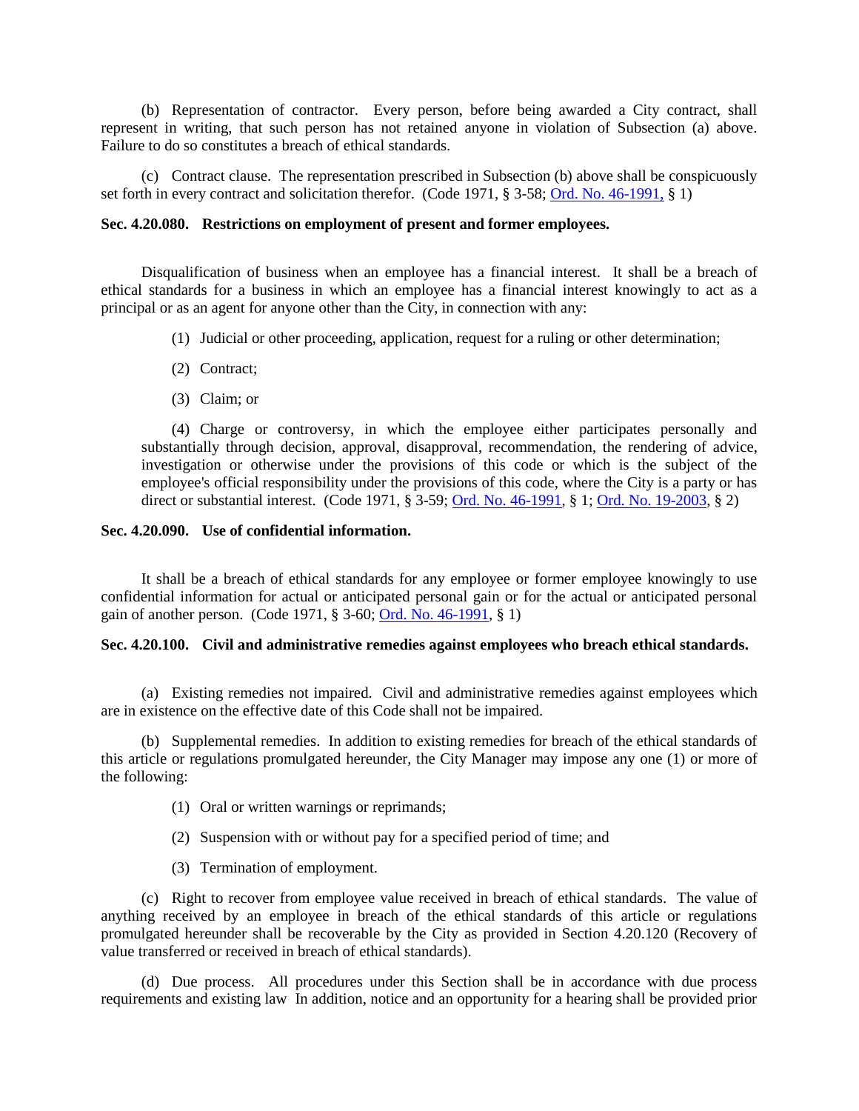(b) Representation of contractor. Every person, before being awarded a City contract, shall represent in writing, that such person has not retained anyone in violation of Subsection (a) above. Failure to do so constitutes a breach of ethical standards.

(c) Contract clause. The representation prescribed in Subsection (b) above shall be conspicuously set forth in every contract and solicitation therefor. (Code 1971, § 3-58; [Ord. No. 46-1991,](http://205.170.51.183/WebLink8/0/doc/3338/Page1.aspx) § 1)

### <span id="page-26-0"></span>**Sec. 4.20.080. Restrictions on employment of present and former employees.**

Disqualification of business when an employee has a financial interest. It shall be a breach of ethical standards for a business in which an employee has a financial interest knowingly to act as a principal or as an agent for anyone other than the City, in connection with any:

- (1) Judicial or other proceeding, application, request for a ruling or other determination;
- (2) Contract;
- (3) Claim; or

(4) Charge or controversy, in which the employee either participates personally and substantially through decision, approval, disapproval, recommendation, the rendering of advice, investigation or otherwise under the provisions of this code or which is the subject of the employee's official responsibility under the provisions of this code, where the City is a party or has direct or substantial interest. (Code 1971, § 3-59; [Ord. No. 46-1991,](http://205.170.51.183/WebLink8/0/doc/3338/Page1.aspx) § 1; [Ord. No. 19-2003,](http://205.170.51.183/WebLink8/DocView.aspx?id=33222&dbid=0) § 2)

#### <span id="page-26-1"></span>**Sec. 4.20.090. Use of confidential information.**

It shall be a breach of ethical standards for any employee or former employee knowingly to use confidential information for actual or anticipated personal gain or for the actual or anticipated personal gain of another person. (Code 1971, § 3-60; [Ord. No. 46-1991,](http://205.170.51.183/WebLink8/0/doc/3338/Page1.aspx) § 1)

#### <span id="page-26-2"></span>**Sec. 4.20.100. Civil and administrative remedies against employees who breach ethical standards.**

(a) Existing remedies not impaired. Civil and administrative remedies against employees which are in existence on the effective date of this Code shall not be impaired.

(b) Supplemental remedies. In addition to existing remedies for breach of the ethical standards of this article or regulations promulgated hereunder, the City Manager may impose any one (1) or more of the following:

- (1) Oral or written warnings or reprimands;
- (2) Suspension with or without pay for a specified period of time; and
- (3) Termination of employment.

(c) Right to recover from employee value received in breach of ethical standards. The value of anything received by an employee in breach of the ethical standards of this article or regulations promulgated hereunder shall be recoverable by the City as provided in Section 4.20.120 (Recovery of value transferred or received in breach of ethical standards).

(d) Due process. All procedures under this Section shall be in accordance with due process requirements and existing law In addition, notice and an opportunity for a hearing shall be provided prior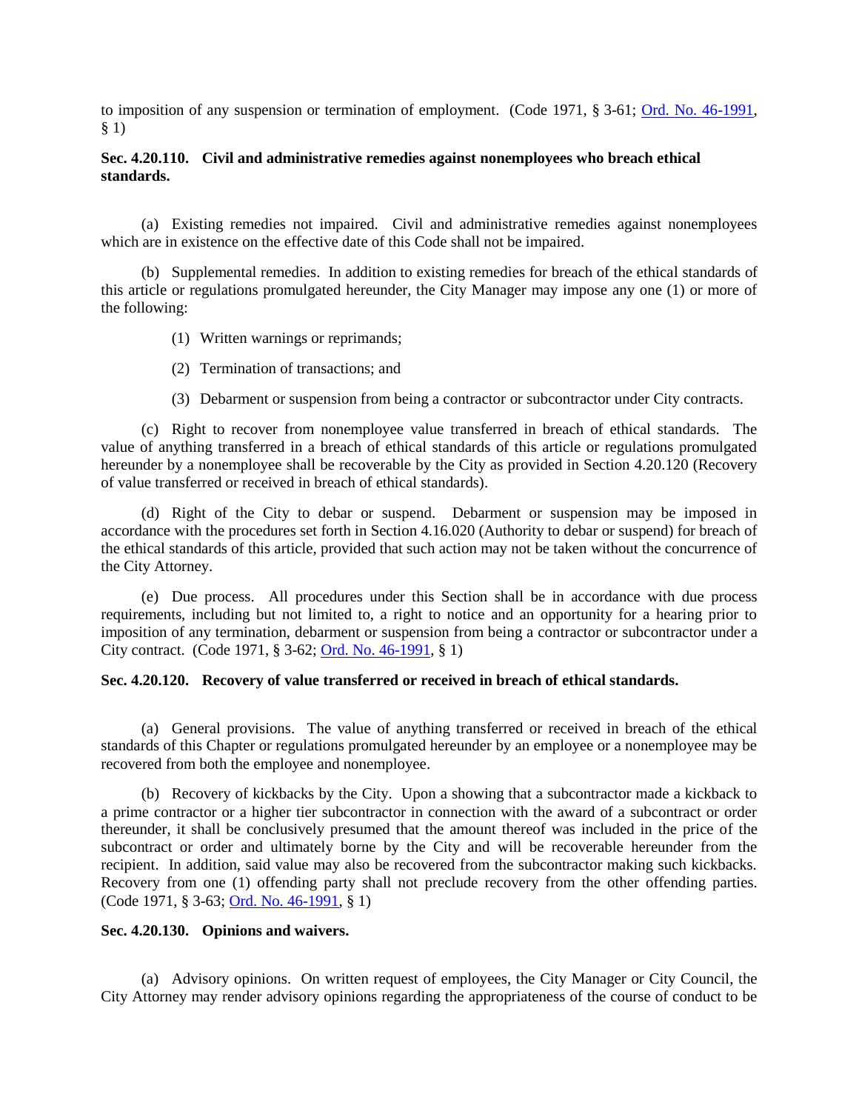to imposition of any suspension or termination of employment. (Code 1971, § 3-61; [Ord. No. 46-1991,](http://205.170.51.183/WebLink8/0/doc/3338/Page1.aspx) § 1)

# <span id="page-27-0"></span>**Sec. 4.20.110. Civil and administrative remedies against nonemployees who breach ethical standards.**

(a) Existing remedies not impaired. Civil and administrative remedies against nonemployees which are in existence on the effective date of this Code shall not be impaired.

(b) Supplemental remedies. In addition to existing remedies for breach of the ethical standards of this article or regulations promulgated hereunder, the City Manager may impose any one (1) or more of the following:

- (1) Written warnings or reprimands;
- (2) Termination of transactions; and
- (3) Debarment or suspension from being a contractor or subcontractor under City contracts.

(c) Right to recover from nonemployee value transferred in breach of ethical standards. The value of anything transferred in a breach of ethical standards of this article or regulations promulgated hereunder by a nonemployee shall be recoverable by the City as provided in Section 4.20.120 (Recovery of value transferred or received in breach of ethical standards).

(d) Right of the City to debar or suspend. Debarment or suspension may be imposed in accordance with the procedures set forth in Section 4.16.020 (Authority to debar or suspend) for breach of the ethical standards of this article, provided that such action may not be taken without the concurrence of the City Attorney.

(e) Due process. All procedures under this Section shall be in accordance with due process requirements, including but not limited to, a right to notice and an opportunity for a hearing prior to imposition of any termination, debarment or suspension from being a contractor or subcontractor under a City contract. (Code 1971, § 3-62; [Ord. No. 46-1991,](http://205.170.51.183/WebLink8/0/doc/3338/Page1.aspx) § 1)

### <span id="page-27-1"></span>**Sec. 4.20.120. Recovery of value transferred or received in breach of ethical standards.**

(a) General provisions. The value of anything transferred or received in breach of the ethical standards of this Chapter or regulations promulgated hereunder by an employee or a nonemployee may be recovered from both the employee and nonemployee.

(b) Recovery of kickbacks by the City. Upon a showing that a subcontractor made a kickback to a prime contractor or a higher tier subcontractor in connection with the award of a subcontract or order thereunder, it shall be conclusively presumed that the amount thereof was included in the price of the subcontract or order and ultimately borne by the City and will be recoverable hereunder from the recipient. In addition, said value may also be recovered from the subcontractor making such kickbacks. Recovery from one (1) offending party shall not preclude recovery from the other offending parties. (Code 1971, § 3-63; [Ord. No. 46-1991,](http://205.170.51.183/WebLink8/0/doc/3338/Page1.aspx) § 1)

### <span id="page-27-2"></span>**Sec. 4.20.130. Opinions and waivers.**

(a) Advisory opinions. On written request of employees, the City Manager or City Council, the City Attorney may render advisory opinions regarding the appropriateness of the course of conduct to be